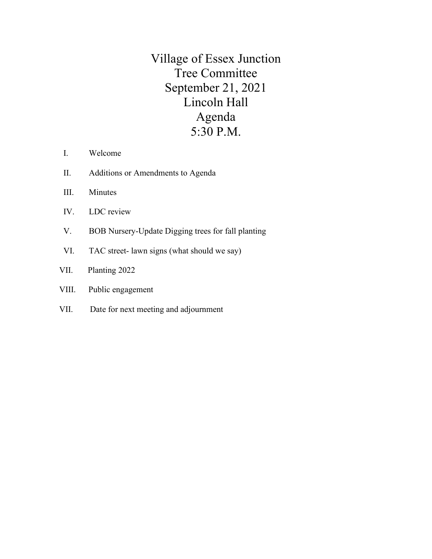Village of Essex Junction Tree Committee September 21, 2021 Lincoln Hall Agenda 5:30 P.M.

- I. Welcome
- II. Additions or Amendments to Agenda
- III. Minutes
- IV. LDC review
- V. BOB Nursery-Update Digging trees for fall planting
- VI. TAC street- lawn signs (what should we say)
- VII. Planting 2022

## VIII. Public engagement

VII. Date for next meeting and adjournment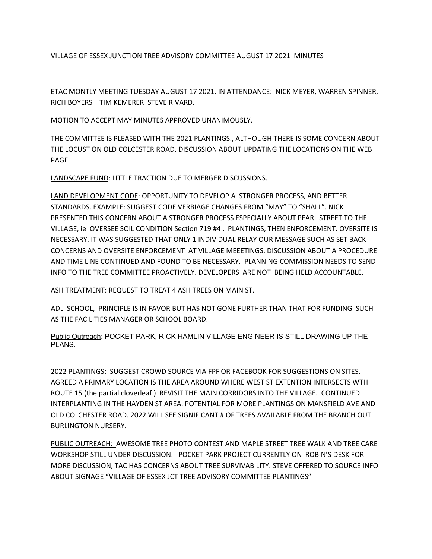VILLAGE OF ESSEX JUNCTION TREE ADVISORY COMMITTEE AUGUST 17 2021 MINUTES

ETAC MONTLY MEETING TUESDAY AUGUST 17 2021. IN ATTENDANCE: NICK MEYER, WARREN SPINNER, RICH BOYERS TIM KEMERER STEVE RIVARD.

MOTION TO ACCEPT MAY MINUTES APPROVED UNANIMOUSLY.

THE COMMITTEE IS PLEASED WITH THE 2021 PLANTINGS., ALTHOUGH THERE IS SOME CONCERN ABOUT THE LOCUST ON OLD COLCESTER ROAD. DISCUSSION ABOUT UPDATING THE LOCATIONS ON THE WEB PAGE.

LANDSCAPE FUND: LITTLE TRACTION DUE TO MERGER DISCUSSIONS.

LAND DEVELOPMENT CODE: OPPORTUNITY TO DEVELOP A STRONGER PROCESS, AND BETTER STANDARDS. EXAMPLE: SUGGEST CODE VERBIAGE CHANGES FROM "MAY" TO "SHALL". NICK PRESENTED THIS CONCERN ABOUT A STRONGER PROCESS ESPECIALLY ABOUT PEARL STREET TO THE VILLAGE, ie OVERSEE SOIL CONDITION Section 719 #4 , PLANTINGS, THEN ENFORCEMENT. OVERSITE IS NECESSARY. IT WAS SUGGESTED THAT ONLY 1 INDIVIDUAL RELAY OUR MESSAGE SUCH AS SET BACK CONCERNS AND OVERSITE ENFORCEMENT AT VILLAGE MEEETINGS. DISCUSSION ABOUT A PROCEDURE AND TIME LINE CONTINUED AND FOUND TO BE NECESSARY. PLANNING COMMISSION NEEDS TO SEND INFO TO THE TREE COMMITTEE PROACTIVELY. DEVELOPERS ARE NOT BEING HELD ACCOUNTABLE.

ASH TREATMENT: REQUEST TO TREAT 4 ASH TREES ON MAIN ST.

ADL SCHOOL, PRINCIPLE IS IN FAVOR BUT HAS NOT GONE FURTHER THAN THAT FOR FUNDING SUCH AS THE FACILITIES MANAGER OR SCHOOL BOARD.

Public Outreach: POCKET PARK, RICK HAMLIN VILLAGE ENGINEER IS STILL DRAWING UP THE PLANS.

2022 PLANTINGS: SUGGEST CROWD SOURCE VIA FPF OR FACEBOOK FOR SUGGESTIONS ON SITES. AGREED A PRIMARY LOCATION IS THE AREA AROUND WHERE WEST ST EXTENTION INTERSECTS WTH ROUTE 15 (the partial cloverleaf ) REVISIT THE MAIN CORRIDORS INTO THE VILLAGE. CONTINUED INTERPLANTING IN THE HAYDEN ST AREA. POTENTIAL FOR MORE PLANTINGS ON MANSFIELD AVE AND OLD COLCHESTER ROAD. 2022 WILL SEE SIGNIFICANT # OF TREES AVAILABLE FROM THE BRANCH OUT BURLINGTON NURSERY.

PUBLIC OUTREACH: AWESOME TREE PHOTO CONTEST AND MAPLE STREET TREE WALK AND TREE CARE WORKSHOP STILL UNDER DISCUSSION. POCKET PARK PROJECT CURRENTLY ON ROBIN'S DESK FOR MORE DISCUSSION, TAC HAS CONCERNS ABOUT TREE SURVIVABILITY. STEVE OFFERED TO SOURCE INFO ABOUT SIGNAGE "VILLAGE OF ESSEX JCT TREE ADVISORY COMMITTEE PLANTINGS"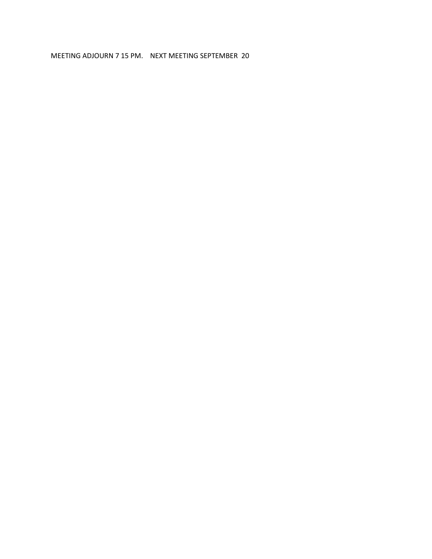### MEETING ADJOURN 7 15 PM. NEXT MEETING SEPTEMBER 20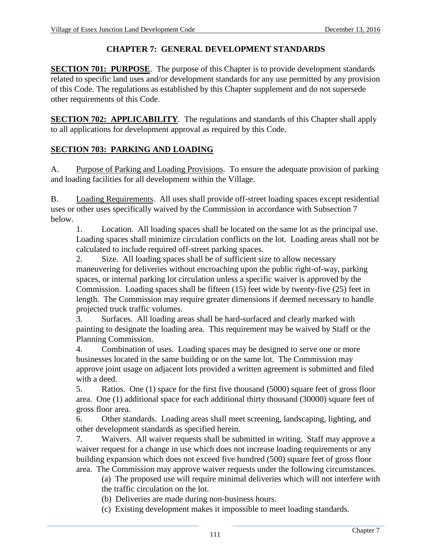# **CHAPTER 7: GENERAL DEVELOPMENT STANDARDS**

**SECTION 701: PURPOSE**. The purpose of this Chapter is to provide development standards related to specific land uses and/or development standards for any use permitted by any provision of this Code. The regulations as established by this Chapter supplement and do not supersede other requirements of this Code.

**SECTION 702: APPLICABILITY**. The regulations and standards of this Chapter shall apply to all applications for development approval as required by this Code.

## **SECTION 703: PARKING AND LOADING**

A. Purpose of Parking and Loading Provisions. To ensure the adequate provision of parking and loading facilities for all development within the Village.

B. Loading Requirements. All uses shall provide off-street loading spaces except residential uses or other uses specifically waived by the Commission in accordance with Subsection 7 below.

1. Location. All loading spaces shall be located on the same lot as the principal use. Loading spaces shall minimize circulation conflicts on the lot. Loading areas shall not be calculated to include required off-street parking spaces.

2. Size. All loading spaces shall be of sufficient size to allow necessary maneuvering for deliveries without encroaching upon the public right-of-way, parking spaces, or internal parking lot circulation unless a specific waiver is approved by the Commission. Loading spaces shall be fifteen  $(15)$  feet wide by twenty-five  $(25)$  feet in length. The Commission may require greater dimensions if deemed necessary to handle projected truck traffic volumes.

3. Surfaces. All loading areas shall be hard-surfaced and clearly marked with painting to designate the loading area. This requirement may be waived by Staff or the Planning Commission.

4. Combination of uses. Loading spaces may be designed to serve one or more businesses located in the same building or on the same lot. The Commission may approve joint usage on adjacent lots provided a written agreement is submitted and filed with a deed.

5. Ratios. One (1) space for the first five thousand (5000) square feet of gross floor area. One (1) additional space for each additional thirty thousand (30000) square feet of gross floor area.

6. Other standards. Loading areas shall meet screening, landscaping, lighting, and other development standards as specified herein.

7. Waivers. All waiver requests shall be submitted in writing. Staff may approve a waiver request for a change in use which does not increase loading requirements or any building expansion which does not exceed five hundred (500) square feet of gross floor area. The Commission may approve waiver requests under the following circumstances.

(a) The proposed use will require minimal deliveries which will not interfere with the traffic circulation on the lot.

- (b) Deliveries are made during non-business hours.
- (c) Existing development makes it impossible to meet loading standards.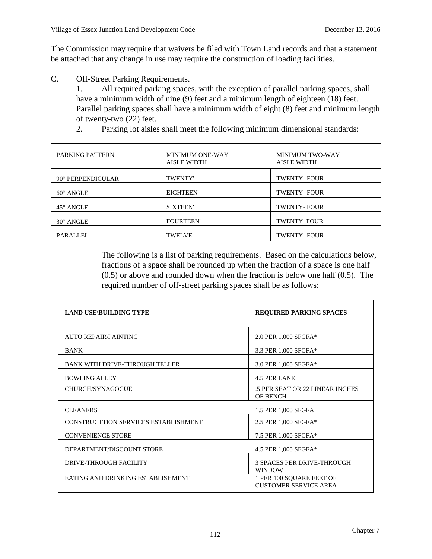The Commission may require that waivers be filed with Town Land records and that a statement be attached that any change in use may require the construction of loading facilities.

C. Off-Street Parking Requirements.

1. All required parking spaces, with the exception of parallel parking spaces, shall have a minimum width of nine (9) feet and a minimum length of eighteen (18) feet. Parallel parking spaces shall have a minimum width of eight (8) feet and minimum length of twenty-two (22) feet.

2. Parking lot aisles shall meet the following minimum dimensional standards:

| <b>PARKING PATTERN</b> | <b>MINIMUM ONE-WAY</b><br><b>AISLE WIDTH</b> | <b>MINIMUM TWO-WAY</b><br><b>AISLE WIDTH</b> |
|------------------------|----------------------------------------------|----------------------------------------------|
| 90° PERPENDICULAR      | <b>TWENTY'</b>                               | <b>TWENTY-FOUR</b>                           |
| $60^\circ$ ANGLE       | <b>EIGHTEEN'</b>                             | <b>TWENTY-FOUR</b>                           |
| 45° ANGLE              | <b>SIXTEEN'</b>                              | <b>TWENTY-FOUR</b>                           |
| $30^\circ$ ANGLE       | <b>FOURTEEN'</b>                             | <b>TWENTY-FOUR</b>                           |
| <b>PARALLEL</b>        | <b>TWELVE'</b>                               | <b>TWENTY-FOUR</b>                           |

The following is a list of parking requirements. Based on the calculations below, fractions of a space shall be rounded up when the fraction of a space is one half (0.5) or above and rounded down when the fraction is below one half (0.5). The required number of off-street parking spaces shall be as follows:

| <b>LAND USE\BUILDING TYPE</b>         | <b>REQUIRED PARKING SPACES</b>                           |
|---------------------------------------|----------------------------------------------------------|
| <b>AUTO REPAIR\PAINTING</b>           | 2.0 PER 1,000 SFGFA*                                     |
| <b>BANK</b>                           | 3.3 PER 1,000 SFGFA*                                     |
| <b>BANK WITH DRIVE-THROUGH TELLER</b> | 3.0 PER 1,000 SFGFA*                                     |
| <b>BOWLING ALLEY</b>                  | <b>4.5 PER LANE</b>                                      |
| CHURCH/SYNAGOGUE                      | .5 PER SEAT OR 22 LINEAR INCHES<br><b>OF BENCH</b>       |
| <b>CLEANERS</b>                       | 1.5 PER 1,000 SFGFA                                      |
| CONSTRUCTTION SERVICES ESTABLISHMENT  | 2.5 PER 1,000 SFGFA*                                     |
| <b>CONVENIENCE STORE</b>              | 7.5 PER 1,000 SFGFA*                                     |
| DEPARTMENT/DISCOUNT STORE             | 4.5 PER 1,000 SFGFA*                                     |
| <b>DRIVE-THROUGH FACILITY</b>         | <b>3 SPACES PER DRIVE-THROUGH</b><br><b>WINDOW</b>       |
| EATING AND DRINKING ESTABLISHMENT     | 1 PER 100 SQUARE FEET OF<br><b>CUSTOMER SERVICE AREA</b> |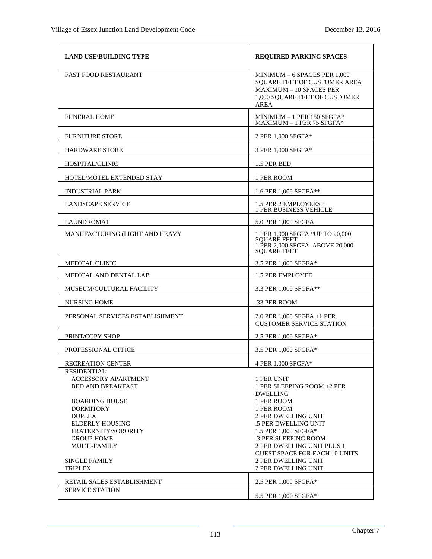| <b>LAND USE BUILDING TYPE</b>                                                                                                                                                       | <b>REQUIRED PARKING SPACES</b>                                                                                                                                                                                                              |
|-------------------------------------------------------------------------------------------------------------------------------------------------------------------------------------|---------------------------------------------------------------------------------------------------------------------------------------------------------------------------------------------------------------------------------------------|
| <b>FAST FOOD RESTAURANT</b>                                                                                                                                                         | MINIMUM $-6$ SPACES PER 1,000<br><b>SOUARE FEET OF CUSTOMER AREA</b><br><b>MAXIMUM - 10 SPACES PER</b><br>1,000 SQUARE FEET OF CUSTOMER<br><b>AREA</b>                                                                                      |
| <b>FUNERAL HOME</b>                                                                                                                                                                 | MINIMUM - 1 PER 150 SFGFA*<br>MAXIMUM - 1 PER 75 SFGFA*                                                                                                                                                                                     |
| <b>FURNITURE STORE</b>                                                                                                                                                              | 2 PER 1,000 SFGFA*                                                                                                                                                                                                                          |
| <b>HARDWARE STORE</b>                                                                                                                                                               | 3 PER 1,000 SFGFA*                                                                                                                                                                                                                          |
| HOSPITAL/CLINIC                                                                                                                                                                     | 1.5 PER BED                                                                                                                                                                                                                                 |
| HOTEL/MOTEL EXTENDED STAY                                                                                                                                                           | 1 PER ROOM                                                                                                                                                                                                                                  |
| <b>INDUSTRIAL PARK</b>                                                                                                                                                              | 1.6 PER 1,000 SFGFA**                                                                                                                                                                                                                       |
| <b>LANDSCAPE SERVICE</b>                                                                                                                                                            | 1.5 PER 2 EMPLOYEES +<br><b>1 PER BUSINESS VEHICLE</b>                                                                                                                                                                                      |
| <b>LAUNDROMAT</b>                                                                                                                                                                   | 5.0 PER 1,000 SFGFA                                                                                                                                                                                                                         |
| MANUFACTURING (LIGHT AND HEAVY                                                                                                                                                      | 1 PER 1,000 SFGFA *UP TO 20,000<br><b>SOUARE FEET</b><br>1 PER 2,000 SFGFA ABOVE 20,000<br><b>SQUARE FEET</b>                                                                                                                               |
| MEDICAL CLINIC                                                                                                                                                                      | 3.5 PER 1,000 SFGFA*                                                                                                                                                                                                                        |
| MEDICAL AND DENTAL LAB                                                                                                                                                              | 1.5 PER EMPLOYEE                                                                                                                                                                                                                            |
| MUSEUM/CULTURAL FACILITY                                                                                                                                                            | 3.3 PER 1,000 SFGFA**                                                                                                                                                                                                                       |
| <b>NURSING HOME</b>                                                                                                                                                                 | .33 PER ROOM                                                                                                                                                                                                                                |
| PERSONAL SERVICES ESTABLISHMENT                                                                                                                                                     | 2.0 PER 1,000 SFGFA +1 PER<br><b>CUSTOMER SERVICE STATION</b>                                                                                                                                                                               |
| PRINT/COPY SHOP                                                                                                                                                                     | 2.5 PER 1,000 SFGFA*                                                                                                                                                                                                                        |
| <b>PROFESSIONAL OFFICE</b>                                                                                                                                                          | 3.5 PER 1,000 SFGFA*                                                                                                                                                                                                                        |
| RECREATION CENTER                                                                                                                                                                   | 4 PER 1,000 SFGFA*                                                                                                                                                                                                                          |
| <b>RESIDENTIAL:</b><br><b>ACCESSORY APARTMENT</b><br><b>BED AND BREAKFAST</b>                                                                                                       | 1 PER UNIT<br>1 PER SLEEPING ROOM +2 PER<br><b>DWELLING</b>                                                                                                                                                                                 |
| <b>BOARDING HOUSE</b><br><b>DORMITORY</b><br><b>DUPLEX</b><br><b>ELDERLY HOUSING</b><br>FRATERNITY/SORORITY<br><b>GROUP HOME</b><br>MULTI-FAMILY<br><b>SINGLE FAMILY</b><br>TRIPLEX | 1 PER ROOM<br>1 PER ROOM<br>2 PER DWELLING UNIT<br>.5 PER DWELLING UNIT<br>1.5 PER 1.000 SFGFA*<br>.3 PER SLEEPING ROOM<br>2 PER DWELLING UNIT PLUS 1<br><b>GUEST SPACE FOR EACH 10 UNITS</b><br>2 PER DWELLING UNIT<br>2 PER DWELLING UNIT |
| RETAIL SALES ESTABLISHMENT                                                                                                                                                          | 2.5 PER 1,000 SFGFA*                                                                                                                                                                                                                        |
| <b>SERVICE STATION</b>                                                                                                                                                              | 5.5 PER 1,000 SFGFA*                                                                                                                                                                                                                        |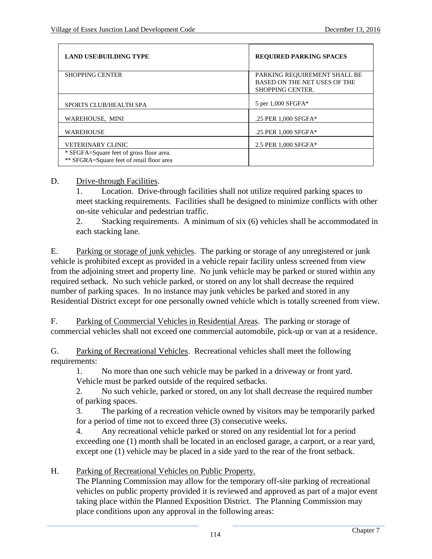| <b>LAND USE\BUILDING TYPE</b>                                                         | <b>REQUIRED PARKING SPACES</b>                                                          |
|---------------------------------------------------------------------------------------|-----------------------------------------------------------------------------------------|
| <b>SHOPPING CENTER</b>                                                                | PARKING REQUIREMENT SHALL BE<br>BASED ON THE NET USES OF THE<br><b>SHOPPING CENTER.</b> |
| <b>SPORTS CLUB/HEALTH SPA</b>                                                         | 5 per 1,000 SFGFA*                                                                      |
| WAREHOUSE, MINI                                                                       | .25 PER 1,000 SFGFA*                                                                    |
| <b>WAREHOUSE</b>                                                                      | .25 PER 1,000 SFGFA*                                                                    |
| <b>VETERINARY CLINIC</b>                                                              | 2.5 PER 1,000 SFGFA*                                                                    |
| * SFGFA=Square feet of gross floor area.<br>** SFGRA=Square feet of retail floor area |                                                                                         |

#### D. Drive-through Facilities.

1. Location. Drive-through facilities shall not utilize required parking spaces to meet stacking requirements. Facilities shall be designed to minimize conflicts with other on-site vehicular and pedestrian traffic.

2. Stacking requirements. A minimum of six (6) vehicles shall be accommodated in each stacking lane.

E. Parking or storage of junk vehicles. The parking or storage of any unregistered or junk vehicle is prohibited except as provided in a vehicle repair facility unless screened from view from the adjoining street and property line. No junk vehicle may be parked or stored within any required setback. No such vehicle parked, or stored on any lot shall decrease the required number of parking spaces. In no instance may junk vehicles be parked and stored in any Residential District except for one personally owned vehicle which is totally screened from view.

F. Parking of Commercial Vehicles in Residential Areas. The parking or storage of commercial vehicles shall not exceed one commercial automobile, pick-up or van at a residence.

G. Parking of Recreational Vehicles. Recreational vehicles shall meet the following requirements:

1. No more than one such vehicle may be parked in a driveway or front yard. Vehicle must be parked outside of the required setbacks.

2. No such vehicle, parked or stored, on any lot shall decrease the required number of parking spaces.

3. The parking of a recreation vehicle owned by visitors may be temporarily parked for a period of time not to exceed three (3) consecutive weeks.

4. Any recreational vehicle parked or stored on any residential lot for a period exceeding one (1) month shall be located in an enclosed garage, a carport, or a rear yard, except one (1) vehicle may be placed in a side yard to the rear of the front setback.

### H. Parking of Recreational Vehicles on Public Property.

The Planning Commission may allow for the temporary off-site parking of recreational vehicles on public property provided it is reviewed and approved as part of a major event taking place within the Planned Exposition District. The Planning Commission may place conditions upon any approval in the following areas: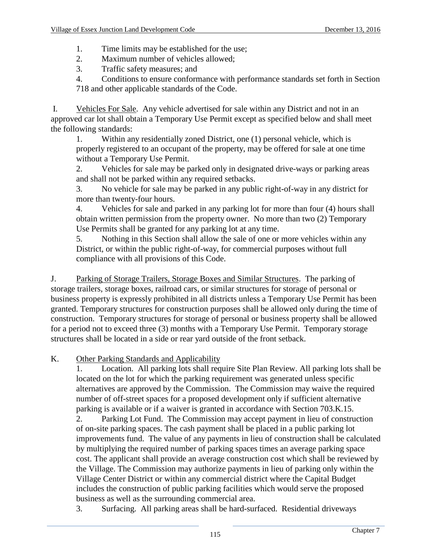- 1. Time limits may be established for the use;
- 2. Maximum number of vehicles allowed;
- 3. Traffic safety measures; and

4. Conditions to ensure conformance with performance standards set forth in Section 718 and other applicable standards of the Code.

I. Vehicles For Sale. Any vehicle advertised for sale within any District and not in an approved car lot shall obtain a Temporary Use Permit except as specified below and shall meet the following standards:

1. Within any residentially zoned District, one (1) personal vehicle, which is properly registered to an occupant of the property, may be offered for sale at one time without a Temporary Use Permit.

2. Vehicles for sale may be parked only in designated drive-ways or parking areas and shall not be parked within any required setbacks.

3. No vehicle for sale may be parked in any public right-of-way in any district for more than twenty-four hours.

4. Vehicles for sale and parked in any parking lot for more than four (4) hours shall obtain written permission from the property owner. No more than two (2) Temporary Use Permits shall be granted for any parking lot at any time.

5. Nothing in this Section shall allow the sale of one or more vehicles within any District, or within the public right-of-way, for commercial purposes without full compliance with all provisions of this Code.

J. Parking of Storage Trailers, Storage Boxes and Similar Structures. The parking of storage trailers, storage boxes, railroad cars, or similar structures for storage of personal or business property is expressly prohibited in all districts unless a Temporary Use Permit has been granted. Temporary structures for construction purposes shall be allowed only during the time of construction. Temporary structures for storage of personal or business property shall be allowed for a period not to exceed three (3) months with a Temporary Use Permit. Temporary storage structures shall be located in a side or rear yard outside of the front setback.

# K. Other Parking Standards and Applicability

1. Location. All parking lots shall require Site Plan Review. All parking lots shall be located on the lot for which the parking requirement was generated unless specific alternatives are approved by the Commission. The Commission may waive the required number of off-street spaces for a proposed development only if sufficient alternative parking is available or if a waiver is granted in accordance with Section 703.K.15.

2. Parking Lot Fund. The Commission may accept payment in lieu of construction of on-site parking spaces. The cash payment shall be placed in a public parking lot improvements fund. The value of any payments in lieu of construction shall be calculated by multiplying the required number of parking spaces times an average parking space cost. The applicant shall provide an average construction cost which shall be reviewed by the Village. The Commission may authorize payments in lieu of parking only within the Village Center District or within any commercial district where the Capital Budget includes the construction of public parking facilities which would serve the proposed business as well as the surrounding commercial area.

3. Surfacing. All parking areas shall be hard-surfaced. Residential driveways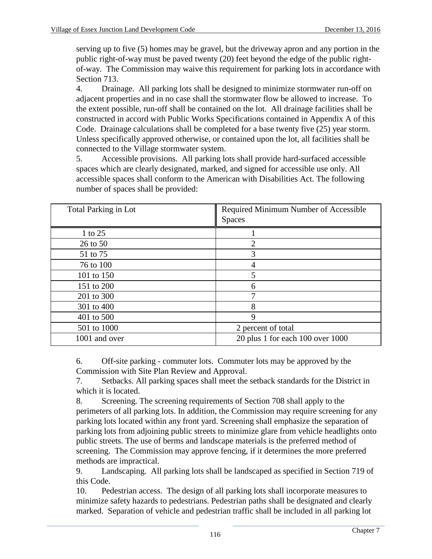serving up to five (5) homes may be gravel, but the driveway apron and any portion in the public right-of-way must be paved twenty (20) feet beyond the edge of the public rightof-way. The Commission may waive this requirement for parking lots in accordance with Section 713.

4. Drainage. All parking lots shall be designed to minimize stormwater run-off on adjacent properties and in no case shall the stormwater flow be allowed to increase. To the extent possible, run-off shall be contained on the lot. All drainage facilities shall be constructed in accord with Public Works Specifications contained in Appendix A of this Code. Drainage calculations shall be completed for a base twenty five (25) year storm. Unless specifically approved otherwise, or contained upon the lot, all facilities shall be connected to the Village stormwater system.

5. Accessible provisions. All parking lots shall provide hard-surfaced accessible spaces which are clearly designated, marked, and signed for accessible use only. All accessible spaces shall conform to the American with Disabilities Act. The following number of spaces shall be provided:

| <b>Total Parking in Lot</b> | Required Minimum Number of Accessible |
|-----------------------------|---------------------------------------|
|                             | <b>Spaces</b>                         |
| 1 to 25                     |                                       |
| 26 to 50                    | 2                                     |
| 51 to 75                    | 3                                     |
| 76 to 100                   | 4                                     |
| 101 to 150                  | 5                                     |
| 151 to 200                  | 6                                     |
| 201 to 300                  | 7                                     |
| 301 to 400                  | 8                                     |
| 401 to 500                  | 9                                     |
| 501 to 1000                 | 2 percent of total                    |
| 1001 and over               | 20 plus 1 for each 100 over 1000      |

6. Off-site parking - commuter lots. Commuter lots may be approved by the Commission with Site Plan Review and Approval.

7. Setbacks. All parking spaces shall meet the setback standards for the District in which it is located.

8. Screening. The screening requirements of Section 708 shall apply to the perimeters of all parking lots. In addition, the Commission may require screening for any parking lots located within any front yard. Screening shall emphasize the separation of parking lots from adjoining public streets to minimize glare from vehicle headlights onto public streets. The use of berms and landscape materials is the preferred method of screening. The Commission may approve fencing, if it determines the more preferred methods are impractical.

9. Landscaping. All parking lots shall be landscaped as specified in Section 719 of this Code.

10. Pedestrian access. The design of all parking lots shall incorporate measures to minimize safety hazards to pedestrians. Pedestrian paths shall be designated and clearly marked. Separation of vehicle and pedestrian traffic shall be included in all parking lot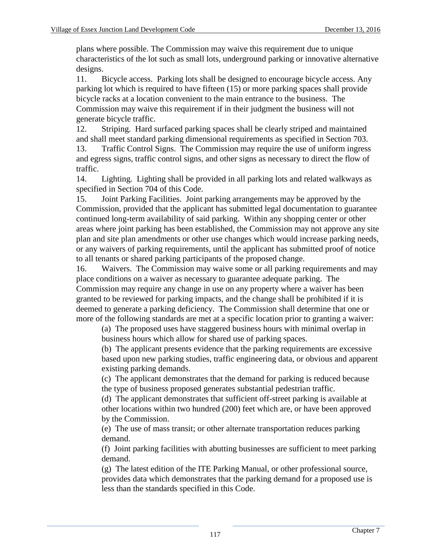plans where possible. The Commission may waive this requirement due to unique characteristics of the lot such as small lots, underground parking or innovative alternative designs.

11. Bicycle access. Parking lots shall be designed to encourage bicycle access. Any parking lot which is required to have fifteen (15) or more parking spaces shall provide bicycle racks at a location convenient to the main entrance to the business. The Commission may waive this requirement if in their judgment the business will not generate bicycle traffic.

12. Striping. Hard surfaced parking spaces shall be clearly striped and maintained and shall meet standard parking dimensional requirements as specified in Section 703. 13. Traffic Control Signs. The Commission may require the use of uniform ingress and egress signs, traffic control signs, and other signs as necessary to direct the flow of traffic.

14. Lighting. Lighting shall be provided in all parking lots and related walkways as specified in Section 704 of this Code.

15. Joint Parking Facilities. Joint parking arrangements may be approved by the Commission, provided that the applicant has submitted legal documentation to guarantee continued long-term availability of said parking. Within any shopping center or other areas where joint parking has been established, the Commission may not approve any site plan and site plan amendments or other use changes which would increase parking needs, or any waivers of parking requirements, until the applicant has submitted proof of notice to all tenants or shared parking participants of the proposed change.

16. Waivers. The Commission may waive some or all parking requirements and may place conditions on a waiver as necessary to guarantee adequate parking. The Commission may require any change in use on any property where a waiver has been granted to be reviewed for parking impacts, and the change shall be prohibited if it is deemed to generate a parking deficiency. The Commission shall determine that one or more of the following standards are met at a specific location prior to granting a waiver:

(a) The proposed uses have staggered business hours with minimal overlap in business hours which allow for shared use of parking spaces.

(b) The applicant presents evidence that the parking requirements are excessive based upon new parking studies, traffic engineering data, or obvious and apparent existing parking demands.

(c) The applicant demonstrates that the demand for parking is reduced because the type of business proposed generates substantial pedestrian traffic.

(d) The applicant demonstrates that sufficient off-street parking is available at other locations within two hundred (200) feet which are, or have been approved by the Commission.

(e) The use of mass transit; or other alternate transportation reduces parking demand.

(f) Joint parking facilities with abutting businesses are sufficient to meet parking demand.

(g) The latest edition of the ITE Parking Manual, or other professional source, provides data which demonstrates that the parking demand for a proposed use is less than the standards specified in this Code.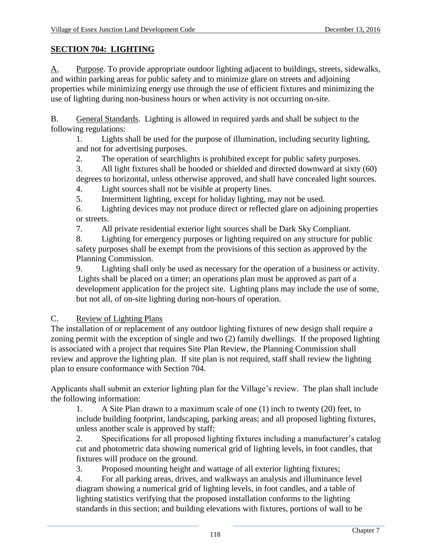# **SECTION 704: LIGHTING**

A. Purpose. To provide appropriate outdoor lighting adjacent to buildings, streets, sidewalks, and within parking areas for public safety and to minimize glare on streets and adjoining properties while minimizing energy use through the use of efficient fixtures and minimizing the use of lighting during non-business hours or when activity is not occurring on-site.

B. General Standards. Lighting is allowed in required yards and shall be subject to the following regulations:

1. Lights shall be used for the purpose of illumination, including security lighting, and not for advertising purposes.

2. The operation of searchlights is prohibited except for public safety purposes.

3. All light fixtures shall be hooded or shielded and directed downward at sixty (60) degrees to horizontal, unless otherwise approved, and shall have concealed light sources.

4. Light sources shall not be visible at property lines.

5. Intermittent lighting, except for holiday lighting, may not be used.

6. Lighting devices may not produce direct or reflected glare on adjoining properties or streets.

7. All private residential exterior light sources shall be Dark Sky Compliant.

8. Lighting for emergency purposes or lighting required on any structure for public safety purposes shall be exempt from the provisions of this section as approved by the Planning Commission.

9. Lighting shall only be used as necessary for the operation of a business or activity. Lights shall be placed on a timer; an operations plan must be approved as part of a development application for the project site. Lighting plans may include the use of some, but not all, of on-site lighting during non-hours of operation.

# C. Review of Lighting Plans

The installation of or replacement of any outdoor lighting fixtures of new design shall require a zoning permit with the exception of single and two (2) family dwellings. If the proposed lighting is associated with a project that requires Site Plan Review, the Planning Commission shall review and approve the lighting plan. If site plan is not required, staff shall review the lighting plan to ensure conformance with Section 704.

Applicants shall submit an exterior lighting plan for the Village's review. The plan shall include the following information:

1. A Site Plan drawn to a maximum scale of one (1) inch to twenty (20) feet, to include building footprint, landscaping, parking areas; and all proposed lighting fixtures, unless another scale is approved by staff;

2. Specifications for all proposed lighting fixtures including a manufacturer's catalog cut and photometric data showing numerical grid of lighting levels, in foot candles, that fixtures will produce on the ground.

3. Proposed mounting height and wattage of all exterior lighting fixtures;

4. For all parking areas, drives, and walkways an analysis and illuminance level diagram showing a numerical grid of lighting levels, in foot candles, and a table of lighting statistics verifying that the proposed installation conforms to the lighting standards in this section; and building elevations with fixtures, portions of wall to be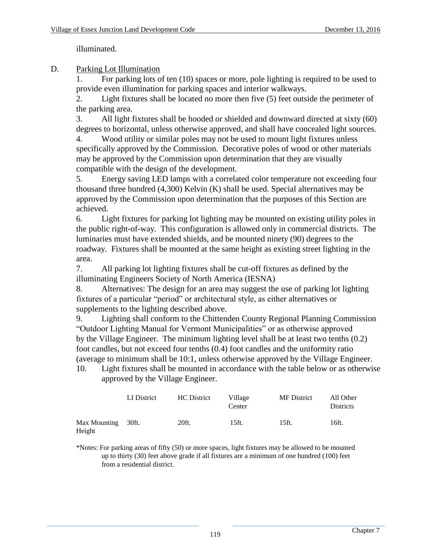illuminated.

#### D. Parking Lot Illumination

1. For parking lots of ten (10) spaces or more, pole lighting is required to be used to provide even illumination for parking spaces and interior walkways.

2. Light fixtures shall be located no more then five (5) feet outside the perimeter of the parking area.

3. All light fixtures shall be hooded or shielded and downward directed at sixty (60) degrees to horizontal, unless otherwise approved, and shall have concealed light sources.

4. Wood utility or similar poles may not be used to mount light fixtures unless specifically approved by the Commission. Decorative poles of wood or other materials may be approved by the Commission upon determination that they are visually compatible with the design of the development.

5. Energy saving LED lamps with a correlated color temperature not exceeding four thousand three hundred (4,300) Kelvin (K) shall be used. Special alternatives may be approved by the Commission upon determination that the purposes of this Section are achieved.

6. Light fixtures for parking lot lighting may be mounted on existing utility poles in the public right-of-way. This configuration is allowed only in commercial districts. The luminaries must have extended shields, and be mounted ninety (90) degrees to the roadway. Fixtures shall be mounted at the same height as existing street lighting in the area.

7. All parking lot lighting fixtures shall be cut-off fixtures as defined by the illuminating Engineers Society of North America (IESNA)

8. Alternatives: The design for an area may suggest the use of parking lot lighting fixtures of a particular "period" or architectural style, as either alternatives or supplements to the lighting described above.

9. Lighting shall conform to the Chittenden County Regional Planning Commission "Outdoor Lighting Manual for Vermont Municipalities" or as otherwise approved by the Village Engineer. The minimum lighting level shall be at least two tenths (0.2) foot candles, but not exceed four tenths (0.4) foot candles and the uniformity ratio (average to minimum shall be 10:1, unless otherwise approved by the Village Engineer.

10. Light fixtures shall be mounted in accordance with the table below or as otherwise approved by the Village Engineer.

|                              | LI District | <b>HC</b> District | Village<br>Center | <b>MF</b> District | All Other<br><b>Districts</b> |
|------------------------------|-------------|--------------------|-------------------|--------------------|-------------------------------|
| Max Mounting 30ft.<br>Height |             | 20ft.              | 15ft.             | 15ft.              | 16ft.                         |

\*Notes: For parking areas of fifty (50) or more spaces, light fixtures may be allowed to be mounted up to thirty (30) feet above grade if all fixtures are a minimum of one hundred (100) feet from a residential district.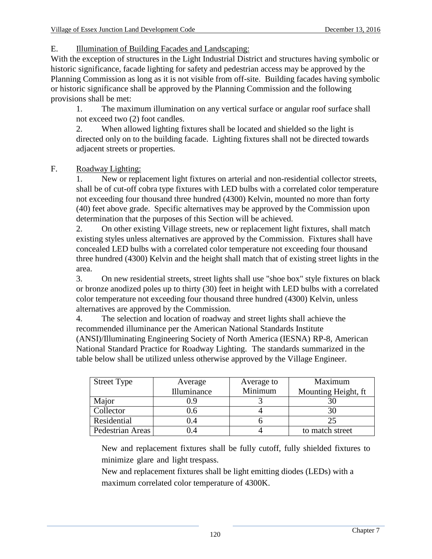E. Illumination of Building Facades and Landscaping:

With the exception of structures in the Light Industrial District and structures having symbolic or historic significance, facade lighting for safety and pedestrian access may be approved by the Planning Commission as long as it is not visible from off-site. Building facades having symbolic or historic significance shall be approved by the Planning Commission and the following provisions shall be met:

1. The maximum illumination on any vertical surface or angular roof surface shall not exceed two (2) foot candles.

2. When allowed lighting fixtures shall be located and shielded so the light is directed only on to the building facade. Lighting fixtures shall not be directed towards adjacent streets or properties.

# F. Roadway Lighting:

1. New or replacement light fixtures on arterial and non-residential collector streets, shall be of cut-off cobra type fixtures with LED bulbs with a correlated color temperature not exceeding four thousand three hundred (4300) Kelvin, mounted no more than forty (40) feet above grade. Specific alternatives may be approved by the Commission upon determination that the purposes of this Section will be achieved.

2. On other existing Village streets, new or replacement light fixtures, shall match existing styles unless alternatives are approved by the Commission. Fixtures shall have concealed LED bulbs with a correlated color temperature not exceeding four thousand three hundred (4300) Kelvin and the height shall match that of existing street lights in the area.

3. On new residential streets, street lights shall use "shoe box" style fixtures on black or bronze anodized poles up to thirty (30) feet in height with LED bulbs with a correlated color temperature not exceeding four thousand three hundred (4300) Kelvin, unless alternatives are approved by the Commission.

4. The selection and location of roadway and street lights shall achieve the recommended illuminance per the American National Standards Institute (ANSI)/Illuminating Engineering Society of North America (IESNA) RP-8, American National Standard Practice for Roadway Lighting. The standards summarized in the table below shall be utilized unless otherwise approved by the Village Engineer.

| <b>Street Type</b> | Average     | Average to | Maximum             |
|--------------------|-------------|------------|---------------------|
|                    | Illuminance | Minimum    | Mounting Height, ft |
| Major              | 0.9         |            |                     |
| Collector          | 0.6         |            |                     |
| Residential        | 0.4         |            |                     |
| Pedestrian Areas   | .4          |            | to match street     |
|                    |             |            |                     |

New and replacement fixtures shall be fully cutoff, fully shielded fixtures to 0 . minimize glare and light trespass.

New and replacement fixtures shall be light emitting diodes (LEDs) with a maximum correlated color temperature of 4300K.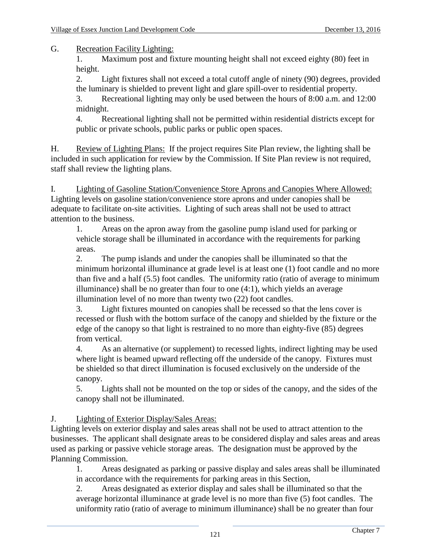G. Recreation Facility Lighting:

1. Maximum post and fixture mounting height shall not exceed eighty (80) feet in height.

2. Light fixtures shall not exceed a total cutoff angle of ninety (90) degrees, provided the luminary is shielded to prevent light and glare spill-over to residential property.

3. Recreational lighting may only be used between the hours of 8:00 a.m. and 12:00 midnight.

4. Recreational lighting shall not be permitted within residential districts except for public or private schools, public parks or public open spaces.

H. Review of Lighting Plans: If the project requires Site Plan review, the lighting shall be included in such application for review by the Commission. If Site Plan review is not required, staff shall review the lighting plans.

I. Lighting of Gasoline Station/Convenience Store Aprons and Canopies Where Allowed: Lighting levels on gasoline station/convenience store aprons and under canopies shall be adequate to facilitate on-site activities. Lighting of such areas shall not be used to attract attention to the business.

1. Areas on the apron away from the gasoline pump island used for parking or vehicle storage shall be illuminated in accordance with the requirements for parking areas.

2. The pump islands and under the canopies shall be illuminated so that the minimum horizontal illuminance at grade level is at least one (1) foot candle and no more than five and a half (5.5) foot candles. The uniformity ratio (ratio of average to minimum illuminance) shall be no greater than four to one (4:1), which yields an average illumination level of no more than twenty two (22) foot candles.

3. Light fixtures mounted on canopies shall be recessed so that the lens cover is recessed or flush with the bottom surface of the canopy and shielded by the fixture or the edge of the canopy so that light is restrained to no more than eighty-five (85) degrees from vertical.

4. As an alternative (or supplement) to recessed lights, indirect lighting may be used where light is beamed upward reflecting off the underside of the canopy. Fixtures must be shielded so that direct illumination is focused exclusively on the underside of the canopy.

5. Lights shall not be mounted on the top or sides of the canopy, and the sides of the canopy shall not be illuminated.

# J. Lighting of Exterior Display/Sales Areas:

Lighting levels on exterior display and sales areas shall not be used to attract attention to the businesses. The applicant shall designate areas to be considered display and sales areas and areas used as parking or passive vehicle storage areas. The designation must be approved by the Planning Commission.

1. Areas designated as parking or passive display and sales areas shall be illuminated in accordance with the requirements for parking areas in this Section,

2. Areas designated as exterior display and sales shall be illuminated so that the average horizontal illuminance at grade level is no more than five (5) foot candles. The uniformity ratio (ratio of average to minimum illuminance) shall be no greater than four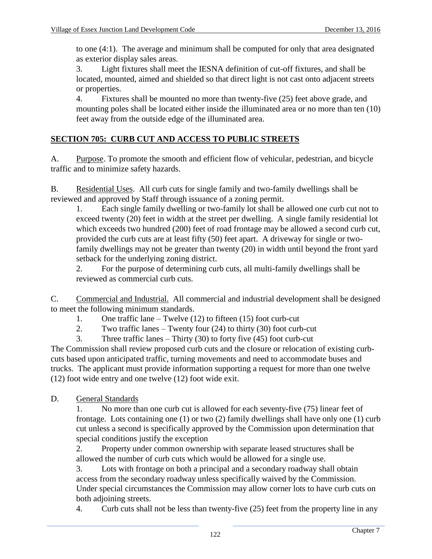to one (4:1). The average and minimum shall be computed for only that area designated as exterior display sales areas.

3. Light fixtures shall meet the IESNA definition of cut-off fixtures, and shall be located, mounted, aimed and shielded so that direct light is not cast onto adjacent streets or properties.

4. Fixtures shall be mounted no more than twenty-five (25) feet above grade, and mounting poles shall be located either inside the illuminated area or no more than ten (10) feet away from the outside edge of the illuminated area.

## **SECTION 705: CURB CUT AND ACCESS TO PUBLIC STREETS**

A. Purpose. To promote the smooth and efficient flow of vehicular, pedestrian, and bicycle traffic and to minimize safety hazards.

B. Residential Uses. All curb cuts for single family and two-family dwellings shall be reviewed and approved by Staff through issuance of a zoning permit.

1. Each single family dwelling or two-family lot shall be allowed one curb cut not to exceed twenty (20) feet in width at the street per dwelling. A single family residential lot which exceeds two hundred (200) feet of road frontage may be allowed a second curb cut, provided the curb cuts are at least fifty (50) feet apart. A driveway for single or twofamily dwellings may not be greater than twenty (20) in width until beyond the front yard setback for the underlying zoning district.

2. For the purpose of determining curb cuts, all multi-family dwellings shall be reviewed as commercial curb cuts.

C. Commercial and Industrial. All commercial and industrial development shall be designed to meet the following minimum standards.

1. One traffic lane – Twelve (12) to fifteen (15) foot curb-cut

2. Two traffic lanes – Twenty four (24) to thirty (30) foot curb-cut

3. Three traffic lanes – Thirty  $(30)$  to forty five  $(45)$  foot curb-cut

The Commission shall review proposed curb cuts and the closure or relocation of existing curbcuts based upon anticipated traffic, turning movements and need to accommodate buses and trucks. The applicant must provide information supporting a request for more than one twelve (12) foot wide entry and one twelve (12) foot wide exit.

D. General Standards

1. No more than one curb cut is allowed for each seventy-five (75) linear feet of frontage. Lots containing one (1) or two (2) family dwellings shall have only one (1) curb cut unless a second is specifically approved by the Commission upon determination that special conditions justify the exception

2. Property under common ownership with separate leased structures shall be allowed the number of curb cuts which would be allowed for a single use.

3. Lots with frontage on both a principal and a secondary roadway shall obtain access from the secondary roadway unless specifically waived by the Commission. Under special circumstances the Commission may allow corner lots to have curb cuts on both adjoining streets.

4. Curb cuts shall not be less than twenty-five (25) feet from the property line in any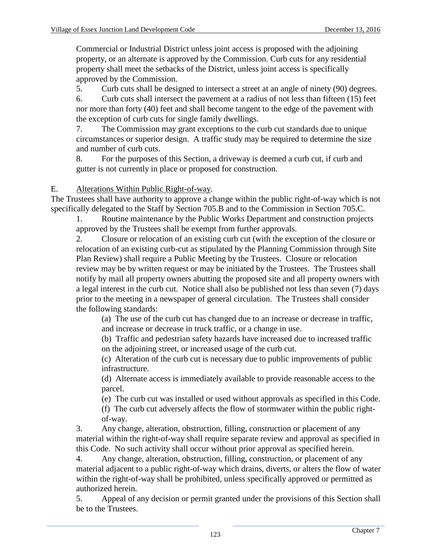Commercial or Industrial District unless joint access is proposed with the adjoining property, or an alternate is approved by the Commission. Curb cuts for any residential property shall meet the setbacks of the District, unless joint access is specifically approved by the Commission.

5. Curb cuts shall be designed to intersect a street at an angle of ninety (90) degrees.

6. Curb cuts shall intersect the pavement at a radius of not less than fifteen (15) feet nor more than forty (40) feet and shall become tangent to the edge of the pavement with the exception of curb cuts for single family dwellings.

7. The Commission may grant exceptions to the curb cut standards due to unique circumstances or superior design. A traffic study may be required to determine the size and number of curb cuts.

8. For the purposes of this Section, a driveway is deemed a curb cut, if curb and gutter is not currently in place or proposed for construction.

## E. Alterations Within Public Right-of-way.

The Trustees shall have authority to approve a change within the public right-of-way which is not specifically delegated to the Staff by Section 705.B and to the Commission in Section 705.C.

1. Routine maintenance by the Public Works Department and construction projects approved by the Trustees shall be exempt from further approvals.

2. Closure or relocation of an existing curb cut (with the exception of the closure or relocation of an existing curb-cut as stipulated by the Planning Commission through Site Plan Review) shall require a Public Meeting by the Trustees. Closure or relocation review may be by written request or may be initiated by the Trustees. The Trustees shall notify by mail all property owners abutting the proposed site and all property owners with a legal interest in the curb cut. Notice shall also be published not less than seven (7) days prior to the meeting in a newspaper of general circulation. The Trustees shall consider the following standards:

(a) The use of the curb cut has changed due to an increase or decrease in traffic, and increase or decrease in truck traffic, or a change in use.

(b) Traffic and pedestrian safety hazards have increased due to increased traffic on the adjoining street, or increased usage of the curb cut.

(c) Alteration of the curb cut is necessary due to public improvements of public infrastructure.

(d) Alternate access is immediately available to provide reasonable access to the parcel.

(e) The curb cut was installed or used without approvals as specified in this Code.

(f) The curb cut adversely affects the flow of stormwater within the public rightof-way.

3. Any change, alteration, obstruction, filling, construction or placement of any material within the right-of-way shall require separate review and approval as specified in this Code. No such activity shall occur without prior approval as specified herein.

4. Any change, alteration, obstruction, filling, construction, or placement of any material adjacent to a public right-of-way which drains, diverts, or alters the flow of water within the right-of-way shall be prohibited, unless specifically approved or permitted as authorized herein.

5. Appeal of any decision or permit granted under the provisions of this Section shall be to the Trustees.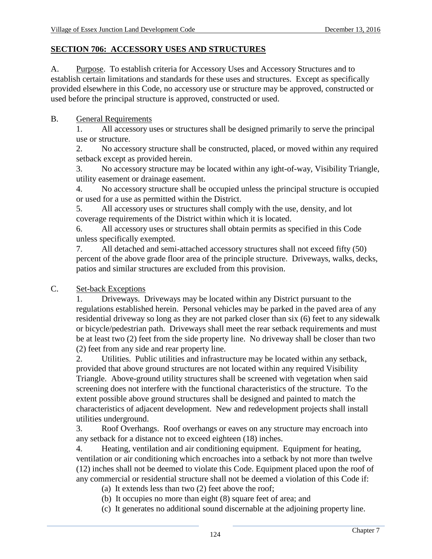### **SECTION 706: ACCESSORY USES AND STRUCTURES**

A. Purpose. To establish criteria for Accessory Uses and Accessory Structures and to establish certain limitations and standards for these uses and structures. Except as specifically provided elsewhere in this Code, no accessory use or structure may be approved, constructed or used before the principal structure is approved, constructed or used.

#### B. General Requirements

1. All accessory uses or structures shall be designed primarily to serve the principal use or structure.

2. No accessory structure shall be constructed, placed, or moved within any required setback except as provided herein.

3. No accessory structure may be located within any ight-of-way, Visibility Triangle, utility easement or drainage easement.

4. No accessory structure shall be occupied unless the principal structure is occupied or used for a use as permitted within the District.

5. All accessory uses or structures shall comply with the use, density, and lot coverage requirements of the District within which it is located.

6. All accessory uses or structures shall obtain permits as specified in this Code unless specifically exempted.

7. All detached and semi-attached accessory structures shall not exceed fifty (50) percent of the above grade floor area of the principle structure. Driveways, walks, decks, patios and similar structures are excluded from this provision.

### C. Set-back Exceptions

1. Driveways. Driveways may be located within any District pursuant to the regulations established herein. Personal vehicles may be parked in the paved area of any residential driveway so long as they are not parked closer than six (6) feet to any sidewalk or bicycle/pedestrian path. Driveways shall meet the rear setback requirements and must be at least two (2) feet from the side property line. No driveway shall be closer than two (2) feet from any side and rear property line.

2. Utilities. Public utilities and infrastructure may be located within any setback, provided that above ground structures are not located within any required Visibility Triangle. Above-ground utility structures shall be screened with vegetation when said screening does not interfere with the functional characteristics of the structure. To the extent possible above ground structures shall be designed and painted to match the characteristics of adjacent development. New and redevelopment projects shall install utilities underground.

3. Roof Overhangs. Roof overhangs or eaves on any structure may encroach into any setback for a distance not to exceed eighteen (18) inches.

4. Heating, ventilation and air conditioning equipment. Equipment for heating, ventilation or air conditioning which encroaches into a setback by not more than twelve (12) inches shall not be deemed to violate this Code. Equipment placed upon the roof of any commercial or residential structure shall not be deemed a violation of this Code if:

(a) It extends less than two (2) feet above the roof;

(b) It occupies no more than eight (8) square feet of area; and

(c) It generates no additional sound discernable at the adjoining property line.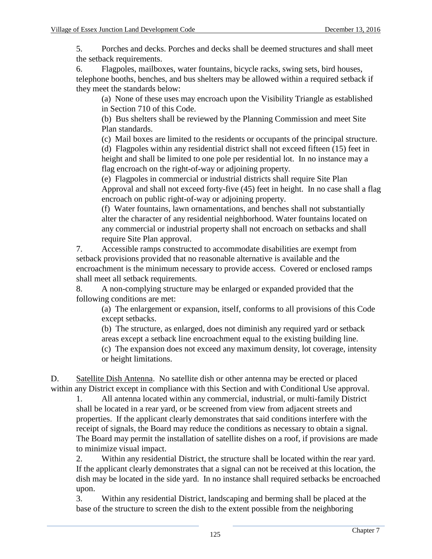5. Porches and decks. Porches and decks shall be deemed structures and shall meet the setback requirements.

6. Flagpoles, mailboxes, water fountains, bicycle racks, swing sets, bird houses, telephone booths, benches, and bus shelters may be allowed within a required setback if they meet the standards below:

(a) None of these uses may encroach upon the Visibility Triangle as established in Section 710 of this Code.

(b) Bus shelters shall be reviewed by the Planning Commission and meet Site Plan standards.

(c) Mail boxes are limited to the residents or occupants of the principal structure.

(d) Flagpoles within any residential district shall not exceed fifteen (15) feet in height and shall be limited to one pole per residential lot. In no instance may a flag encroach on the right-of-way or adjoining property.

(e) Flagpoles in commercial or industrial districts shall require Site Plan Approval and shall not exceed forty-five (45) feet in height. In no case shall a flag encroach on public right-of-way or adjoining property.

(f) Water fountains, lawn ornamentations, and benches shall not substantially alter the character of any residential neighborhood. Water fountains located on any commercial or industrial property shall not encroach on setbacks and shall require Site Plan approval.

7. Accessible ramps constructed to accommodate disabilities are exempt from setback provisions provided that no reasonable alternative is available and the encroachment is the minimum necessary to provide access. Covered or enclosed ramps shall meet all setback requirements.

8. A non-complying structure may be enlarged or expanded provided that the following conditions are met:

(a) The enlargement or expansion, itself, conforms to all provisions of this Code except setbacks.

(b) The structure, as enlarged, does not diminish any required yard or setback areas except a setback line encroachment equal to the existing building line.

(c) The expansion does not exceed any maximum density, lot coverage, intensity or height limitations.

D. Satellite Dish Antenna. No satellite dish or other antenna may be erected or placed within any District except in compliance with this Section and with Conditional Use approval.

1. All antenna located within any commercial, industrial, or multi-family District shall be located in a rear yard, or be screened from view from adjacent streets and properties. If the applicant clearly demonstrates that said conditions interfere with the receipt of signals, the Board may reduce the conditions as necessary to obtain a signal. The Board may permit the installation of satellite dishes on a roof, if provisions are made to minimize visual impact.

2. Within any residential District, the structure shall be located within the rear yard. If the applicant clearly demonstrates that a signal can not be received at this location, the dish may be located in the side yard. In no instance shall required setbacks be encroached upon.

3. Within any residential District, landscaping and berming shall be placed at the base of the structure to screen the dish to the extent possible from the neighboring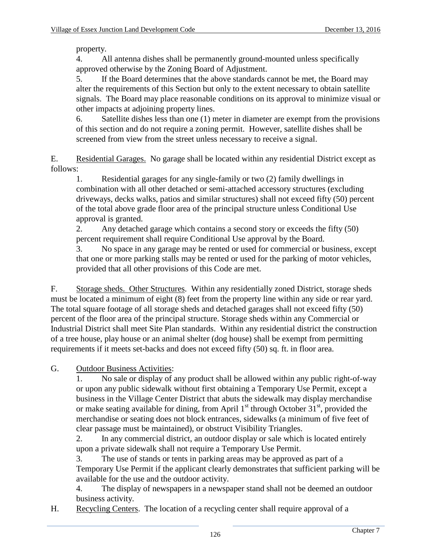property.

4. All antenna dishes shall be permanently ground-mounted unless specifically approved otherwise by the Zoning Board of Adjustment.

5. If the Board determines that the above standards cannot be met, the Board may alter the requirements of this Section but only to the extent necessary to obtain satellite signals. The Board may place reasonable conditions on its approval to minimize visual or other impacts at adjoining property lines.

6. Satellite dishes less than one (1) meter in diameter are exempt from the provisions of this section and do not require a zoning permit. However, satellite dishes shall be screened from view from the street unless necessary to receive a signal.

E. Residential Garages. No garage shall be located within any residential District except as follows:

1. Residential garages for any single-family or two (2) family dwellings in combination with all other detached or semi-attached accessory structures (excluding driveways, decks walks, patios and similar structures) shall not exceed fifty (50) percent of the total above grade floor area of the principal structure unless Conditional Use approval is granted.

2. Any detached garage which contains a second story or exceeds the fifty (50) percent requirement shall require Conditional Use approval by the Board.

3. No space in any garage may be rented or used for commercial or business, except that one or more parking stalls may be rented or used for the parking of motor vehicles, provided that all other provisions of this Code are met.

F. Storage sheds. Other Structures. Within any residentially zoned District, storage sheds must be located a minimum of eight (8) feet from the property line within any side or rear yard. The total square footage of all storage sheds and detached garages shall not exceed fifty (50) percent of the floor area of the principal structure. Storage sheds within any Commercial or Industrial District shall meet Site Plan standards. Within any residential district the construction of a tree house, play house or an animal shelter (dog house) shall be exempt from permitting requirements if it meets set-backs and does not exceed fifty (50) sq. ft. in floor area.

G. Outdoor Business Activities:

1. No sale or display of any product shall be allowed within any public right-of-way or upon any public sidewalk without first obtaining a Temporary Use Permit, except a business in the Village Center District that abuts the sidewalk may display merchandise or make seating available for dining, from April  $1<sup>st</sup>$  through October  $31<sup>st</sup>$ , provided the merchandise or seating does not block entrances, sidewalks (a minimum of five feet of clear passage must be maintained), or obstruct Visibility Triangles.

2. In any commercial district, an outdoor display or sale which is located entirely upon a private sidewalk shall not require a Temporary Use Permit.

3. The use of stands or tents in parking areas may be approved as part of a Temporary Use Permit if the applicant clearly demonstrates that sufficient parking will be available for the use and the outdoor activity.

4. The display of newspapers in a newspaper stand shall not be deemed an outdoor business activity.

H. Recycling Centers. The location of a recycling center shall require approval of a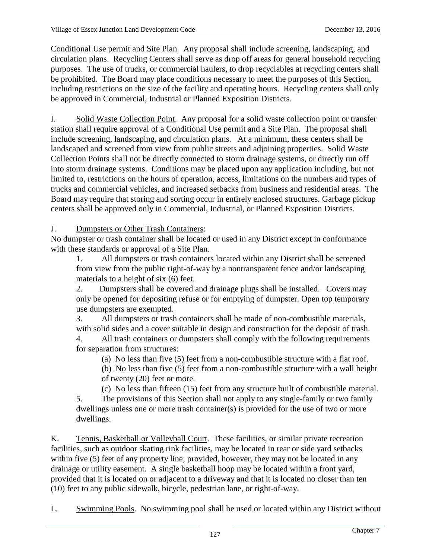Conditional Use permit and Site Plan. Any proposal shall include screening, landscaping, and circulation plans. Recycling Centers shall serve as drop off areas for general household recycling purposes. The use of trucks, or commercial haulers, to drop recyclables at recycling centers shall be prohibited. The Board may place conditions necessary to meet the purposes of this Section, including restrictions on the size of the facility and operating hours. Recycling centers shall only be approved in Commercial, Industrial or Planned Exposition Districts.

I. Solid Waste Collection Point. Any proposal for a solid waste collection point or transfer station shall require approval of a Conditional Use permit and a Site Plan. The proposal shall include screening, landscaping, and circulation plans. At a minimum, these centers shall be landscaped and screened from view from public streets and adjoining properties. Solid Waste Collection Points shall not be directly connected to storm drainage systems, or directly run off into storm drainage systems. Conditions may be placed upon any application including, but not limited to, restrictions on the hours of operation, access, limitations on the numbers and types of trucks and commercial vehicles, and increased setbacks from business and residential areas. The Board may require that storing and sorting occur in entirely enclosed structures. Garbage pickup centers shall be approved only in Commercial, Industrial, or Planned Exposition Districts.

# J. Dumpsters or Other Trash Containers:

No dumpster or trash container shall be located or used in any District except in conformance with these standards or approval of a Site Plan.

1. All dumpsters or trash containers located within any District shall be screened from view from the public right-of-way by a nontransparent fence and/or landscaping materials to a height of six (6) feet.

2. Dumpsters shall be covered and drainage plugs shall be installed. Covers may only be opened for depositing refuse or for emptying of dumpster. Open top temporary use dumpsters are exempted.

3. All dumpsters or trash containers shall be made of non-combustible materials, with solid sides and a cover suitable in design and construction for the deposit of trash.

4. All trash containers or dumpsters shall comply with the following requirements for separation from structures:

(a) No less than five (5) feet from a non-combustible structure with a flat roof.

(b) No less than five (5) feet from a non-combustible structure with a wall height of twenty (20) feet or more.

(c) No less than fifteen (15) feet from any structure built of combustible material.

5. The provisions of this Section shall not apply to any single-family or two family dwellings unless one or more trash container(s) is provided for the use of two or more dwellings.

K. Tennis, Basketball or Volleyball Court. These facilities, or similar private recreation facilities, such as outdoor skating rink facilities, may be located in rear or side yard setbacks within five (5) feet of any property line; provided, however, they may not be located in any drainage or utility easement. A single basketball hoop may be located within a front yard, provided that it is located on or adjacent to a driveway and that it is located no closer than ten (10) feet to any public sidewalk, bicycle, pedestrian lane, or right-of-way.

L. Swimming Pools. No swimming pool shall be used or located within any District without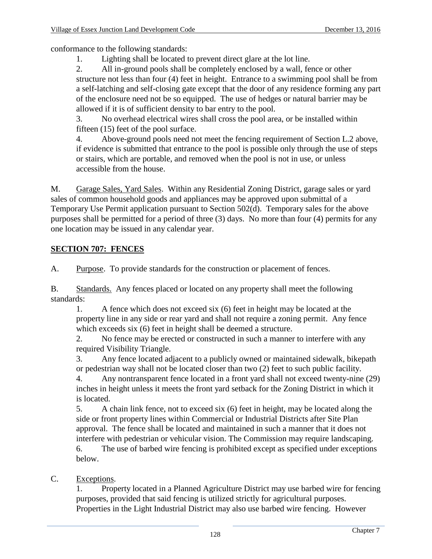conformance to the following standards:

1. Lighting shall be located to prevent direct glare at the lot line.

2. All in-ground pools shall be completely enclosed by a wall, fence or other structure not less than four (4) feet in height. Entrance to a swimming pool shall be from a self-latching and self-closing gate except that the door of any residence forming any part of the enclosure need not be so equipped. The use of hedges or natural barrier may be allowed if it is of sufficient density to bar entry to the pool.

3. No overhead electrical wires shall cross the pool area, or be installed within fifteen (15) feet of the pool surface.

4. Above-ground pools need not meet the fencing requirement of Section L.2 above, if evidence is submitted that entrance to the pool is possible only through the use of steps or stairs, which are portable, and removed when the pool is not in use, or unless accessible from the house.

M. Garage Sales, Yard Sales. Within any Residential Zoning District, garage sales or yard sales of common household goods and appliances may be approved upon submittal of a Temporary Use Permit application pursuant to Section 502(d). Temporary sales for the above purposes shall be permitted for a period of three (3) days. No more than four (4) permits for any one location may be issued in any calendar year.

# **SECTION 707: FENCES**

A. Purpose. To provide standards for the construction or placement of fences.

B. Standards. Any fences placed or located on any property shall meet the following standards:

1. A fence which does not exceed six (6) feet in height may be located at the property line in any side or rear yard and shall not require a zoning permit. Any fence which exceeds six (6) feet in height shall be deemed a structure.

2. No fence may be erected or constructed in such a manner to interfere with any required Visibility Triangle.

3. Any fence located adjacent to a publicly owned or maintained sidewalk, bikepath or pedestrian way shall not be located closer than two (2) feet to such public facility.

4. Any nontransparent fence located in a front yard shall not exceed twenty-nine (29) inches in height unless it meets the front yard setback for the Zoning District in which it is located.

5. A chain link fence, not to exceed six (6) feet in height, may be located along the side or front property lines within Commercial or Industrial Districts after Site Plan approval. The fence shall be located and maintained in such a manner that it does not interfere with pedestrian or vehicular vision. The Commission may require landscaping. 6. The use of barbed wire fencing is prohibited except as specified under exceptions

below.

# C. Exceptions.

1. Property located in a Planned Agriculture District may use barbed wire for fencing purposes, provided that said fencing is utilized strictly for agricultural purposes. Properties in the Light Industrial District may also use barbed wire fencing. However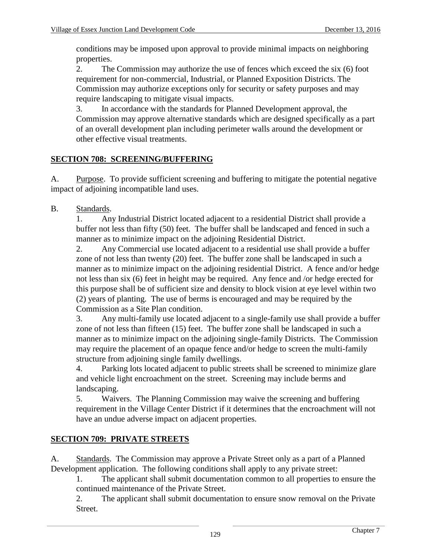conditions may be imposed upon approval to provide minimal impacts on neighboring properties.

2. The Commission may authorize the use of fences which exceed the six (6) foot requirement for non-commercial, Industrial, or Planned Exposition Districts. The Commission may authorize exceptions only for security or safety purposes and may require landscaping to mitigate visual impacts.

3. In accordance with the standards for Planned Development approval, the Commission may approve alternative standards which are designed specifically as a part of an overall development plan including perimeter walls around the development or other effective visual treatments.

# **SECTION 708: SCREENING/BUFFERING**

A. Purpose. To provide sufficient screening and buffering to mitigate the potential negative impact of adjoining incompatible land uses.

B. Standards.

1. Any Industrial District located adjacent to a residential District shall provide a buffer not less than fifty (50) feet. The buffer shall be landscaped and fenced in such a manner as to minimize impact on the adjoining Residential District.

2. Any Commercial use located adjacent to a residential use shall provide a buffer zone of not less than twenty (20) feet. The buffer zone shall be landscaped in such a manner as to minimize impact on the adjoining residential District. A fence and/or hedge not less than six (6) feet in height may be required. Any fence and /or hedge erected for this purpose shall be of sufficient size and density to block vision at eye level within two (2) years of planting. The use of berms is encouraged and may be required by the Commission as a Site Plan condition.

3. Any multi-family use located adjacent to a single-family use shall provide a buffer zone of not less than fifteen (15) feet. The buffer zone shall be landscaped in such a manner as to minimize impact on the adjoining single-family Districts. The Commission may require the placement of an opaque fence and/or hedge to screen the multi-family structure from adjoining single family dwellings.

4. Parking lots located adjacent to public streets shall be screened to minimize glare and vehicle light encroachment on the street. Screening may include berms and landscaping.

5. Waivers. The Planning Commission may waive the screening and buffering requirement in the Village Center District if it determines that the encroachment will not have an undue adverse impact on adjacent properties.

# **SECTION 709: PRIVATE STREETS**

A. Standards. The Commission may approve a Private Street only as a part of a Planned Development application. The following conditions shall apply to any private street:

1. The applicant shall submit documentation common to all properties to ensure the continued maintenance of the Private Street.

2. The applicant shall submit documentation to ensure snow removal on the Private Street.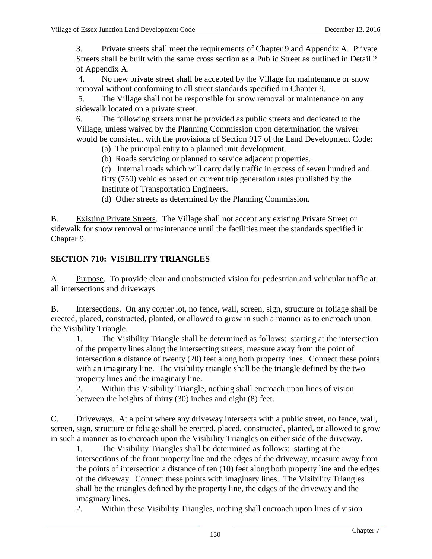3. Private streets shall meet the requirements of Chapter 9 and Appendix A. Private Streets shall be built with the same cross section as a Public Street as outlined in Detail 2 of Appendix A.

4. No new private street shall be accepted by the Village for maintenance or snow removal without conforming to all street standards specified in Chapter 9.

5. The Village shall not be responsible for snow removal or maintenance on any sidewalk located on a private street.

6. The following streets must be provided as public streets and dedicated to the Village, unless waived by the Planning Commission upon determination the waiver would be consistent with the provisions of Section 917 of the Land Development Code:

(a) The principal entry to a planned unit development.

(b) Roads servicing or planned to service adjacent properties.

(c) Internal roads which will carry daily traffic in excess of seven hundred and fifty (750) vehicles based on current trip generation rates published by the Institute of Transportation Engineers.

(d) Other streets as determined by the Planning Commission.

B. Existing Private Streets. The Village shall not accept any existing Private Street or sidewalk for snow removal or maintenance until the facilities meet the standards specified in Chapter 9.

# **SECTION 710: VISIBILITY TRIANGLES**

A. Purpose. To provide clear and unobstructed vision for pedestrian and vehicular traffic at all intersections and driveways.

B. Intersections. On any corner lot, no fence, wall, screen, sign, structure or foliage shall be erected, placed, constructed, planted, or allowed to grow in such a manner as to encroach upon the Visibility Triangle.

1. The Visibility Triangle shall be determined as follows: starting at the intersection of the property lines along the intersecting streets, measure away from the point of intersection a distance of twenty (20) feet along both property lines. Connect these points with an imaginary line. The visibility triangle shall be the triangle defined by the two property lines and the imaginary line.

2. Within this Visibility Triangle, nothing shall encroach upon lines of vision between the heights of thirty (30) inches and eight (8) feet.

C. Driveways. At a point where any driveway intersects with a public street, no fence, wall, screen, sign, structure or foliage shall be erected, placed, constructed, planted, or allowed to grow in such a manner as to encroach upon the Visibility Triangles on either side of the driveway.

1. The Visibility Triangles shall be determined as follows: starting at the intersections of the front property line and the edges of the driveway, measure away from the points of intersection a distance of ten (10) feet along both property line and the edges of the driveway. Connect these points with imaginary lines. The Visibility Triangles shall be the triangles defined by the property line, the edges of the driveway and the imaginary lines.

2. Within these Visibility Triangles, nothing shall encroach upon lines of vision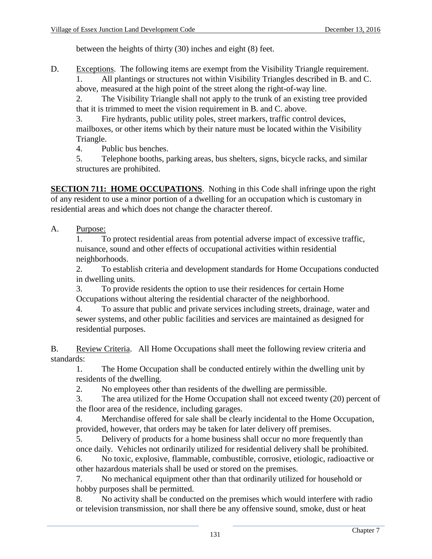between the heights of thirty (30) inches and eight (8) feet.

D. Exceptions. The following items are exempt from the Visibility Triangle requirement. 1. All plantings or structures not within Visibility Triangles described in B. and C. above, measured at the high point of the street along the right-of-way line.

2. The Visibility Triangle shall not apply to the trunk of an existing tree provided that it is trimmed to meet the vision requirement in B. and C. above.

3. Fire hydrants, public utility poles, street markers, traffic control devices, mailboxes, or other items which by their nature must be located within the Visibility Triangle.

4. Public bus benches.

5. Telephone booths, parking areas, bus shelters, signs, bicycle racks, and similar structures are prohibited.

**SECTION 711: HOME OCCUPATIONS.** Nothing in this Code shall infringe upon the right of any resident to use a minor portion of a dwelling for an occupation which is customary in residential areas and which does not change the character thereof.

A. Purpose:

1. To protect residential areas from potential adverse impact of excessive traffic, nuisance, sound and other effects of occupational activities within residential neighborhoods.

2. To establish criteria and development standards for Home Occupations conducted in dwelling units.

3. To provide residents the option to use their residences for certain Home Occupations without altering the residential character of the neighborhood.

4. To assure that public and private services including streets, drainage, water and sewer systems, and other public facilities and services are maintained as designed for residential purposes.

B. Review Criteria. All Home Occupations shall meet the following review criteria and standards:

1. The Home Occupation shall be conducted entirely within the dwelling unit by residents of the dwelling.

2. No employees other than residents of the dwelling are permissible.

3. The area utilized for the Home Occupation shall not exceed twenty (20) percent of the floor area of the residence, including garages.

4. Merchandise offered for sale shall be clearly incidental to the Home Occupation, provided, however, that orders may be taken for later delivery off premises.

5. Delivery of products for a home business shall occur no more frequently than once daily. Vehicles not ordinarily utilized for residential delivery shall be prohibited.

6. No toxic, explosive, flammable, combustible, corrosive, etiologic, radioactive or other hazardous materials shall be used or stored on the premises.

7. No mechanical equipment other than that ordinarily utilized for household or hobby purposes shall be permitted.

8. No activity shall be conducted on the premises which would interfere with radio or television transmission, nor shall there be any offensive sound, smoke, dust or heat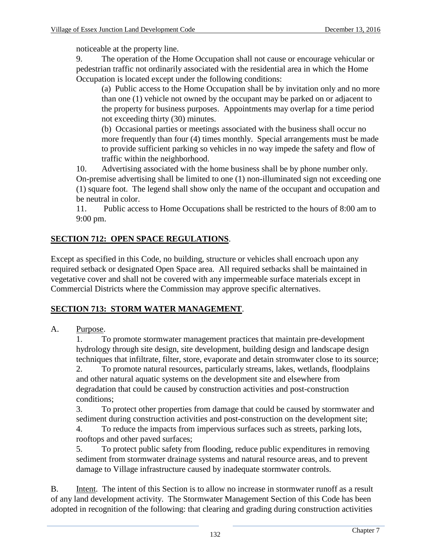noticeable at the property line.

9. The operation of the Home Occupation shall not cause or encourage vehicular or pedestrian traffic not ordinarily associated with the residential area in which the Home Occupation is located except under the following conditions:

(a) Public access to the Home Occupation shall be by invitation only and no more than one (1) vehicle not owned by the occupant may be parked on or adjacent to the property for business purposes. Appointments may overlap for a time period not exceeding thirty (30) minutes.

(b) Occasional parties or meetings associated with the business shall occur no more frequently than four (4) times monthly. Special arrangements must be made to provide sufficient parking so vehicles in no way impede the safety and flow of traffic within the neighborhood.

10. Advertising associated with the home business shall be by phone number only. On-premise advertising shall be limited to one (1) non-illuminated sign not exceeding one (1) square foot. The legend shall show only the name of the occupant and occupation and be neutral in color.

11. Public access to Home Occupations shall be restricted to the hours of 8:00 am to 9:00 pm.

# **SECTION 712: OPEN SPACE REGULATIONS**.

Except as specified in this Code, no building, structure or vehicles shall encroach upon any required setback or designated Open Space area. All required setbacks shall be maintained in vegetative cover and shall not be covered with any impermeable surface materials except in Commercial Districts where the Commission may approve specific alternatives.

### **SECTION 713: STORM WATER MANAGEMENT**.

### A. Purpose.

1. To promote stormwater management practices that maintain pre-development hydrology through site design, site development, building design and landscape design techniques that infiltrate, filter, store, evaporate and detain stromwater close to its source; 2. To promote natural resources, particularly streams, lakes, wetlands, floodplains and other natural aquatic systems on the development site and elsewhere from degradation that could be caused by construction activities and post-construction

conditions;

3. To protect other properties from damage that could be caused by stormwater and sediment during construction activities and post-construction on the development site; 4. To reduce the impacts from impervious surfaces such as streets, parking lots, rooftops and other paved surfaces;

5. To protect public safety from flooding, reduce public expenditures in removing sediment from stormwater drainage systems and natural resource areas, and to prevent damage to Village infrastructure caused by inadequate stormwater controls.

B. Intent. The intent of this Section is to allow no increase in stormwater runoff as a result of any land development activity. The Stormwater Management Section of this Code has been adopted in recognition of the following: that clearing and grading during construction activities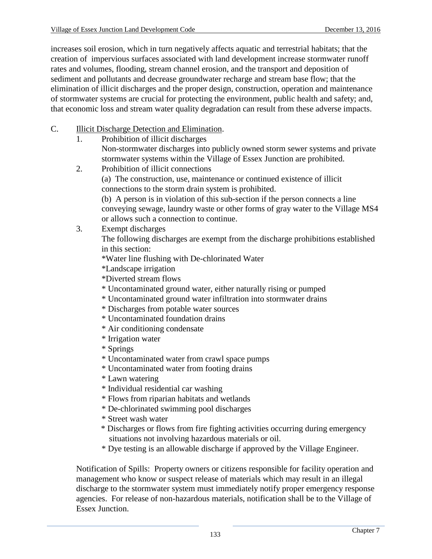increases soil erosion, which in turn negatively affects aquatic and terrestrial habitats; that the creation of impervious surfaces associated with land development increase stormwater runoff rates and volumes, flooding, stream channel erosion, and the transport and deposition of sediment and pollutants and decrease groundwater recharge and stream base flow; that the elimination of illicit discharges and the proper design, construction, operation and maintenance of stormwater systems are crucial for protecting the environment, public health and safety; and, that economic loss and stream water quality degradation can result from these adverse impacts.

- C. Illicit Discharge Detection and Elimination.
	- 1. Prohibition of illicit discharges

Non-stormwater discharges into publicly owned storm sewer systems and private stormwater systems within the Village of Essex Junction are prohibited.

2. Prohibition of illicit connections

(a) The construction, use, maintenance or continued existence of illicit connections to the storm drain system is prohibited.

(b) A person is in violation of this sub-section if the person connects a line conveying sewage, laundry waste or other forms of gray water to the Village MS4 or allows such a connection to continue.

3. Exempt discharges The following discharges are exempt from the discharge prohibitions established in this section:

\*Water line flushing with De-chlorinated Water

\*Landscape irrigation

\*Diverted stream flows

- \* Uncontaminated ground water, either naturally rising or pumped
- \* Uncontaminated ground water infiltration into stormwater drains
- \* Discharges from potable water sources
- \* Uncontaminated foundation drains
- \* Air conditioning condensate
- \* Irrigation water
- \* Springs
- \* Uncontaminated water from crawl space pumps
- \* Uncontaminated water from footing drains
- \* Lawn watering
- \* Individual residential car washing
- \* Flows from riparian habitats and wetlands
- \* De-chlorinated swimming pool discharges
- \* Street wash water
- \* Discharges or flows from fire fighting activities occurring during emergency situations not involving hazardous materials or oil.
- \* Dye testing is an allowable discharge if approved by the Village Engineer.

Notification of Spills: Property owners or citizens responsible for facility operation and management who know or suspect release of materials which may result in an illegal discharge to the stormwater system must immediately notify proper emergency response agencies. For release of non-hazardous materials, notification shall be to the Village of Essex Junction.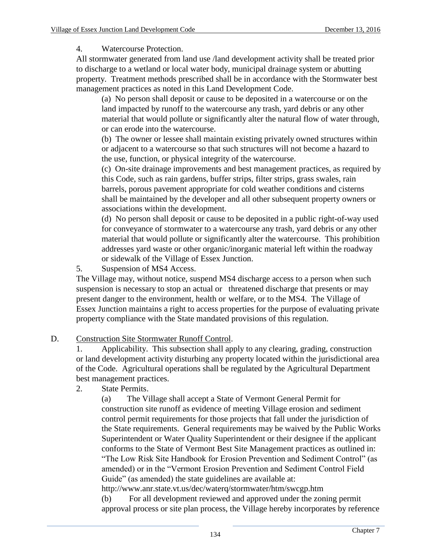## 4. Watercourse Protection.

All stormwater generated from land use /land development activity shall be treated prior to discharge to a wetland or local water body, municipal drainage system or abutting property. Treatment methods prescribed shall be in accordance with the Stormwater best management practices as noted in this Land Development Code.

(a) No person shall deposit or cause to be deposited in a watercourse or on the land impacted by runoff to the watercourse any trash, yard debris or any other material that would pollute or significantly alter the natural flow of water through, or can erode into the watercourse.

(b) The owner or lessee shall maintain existing privately owned structures within or adjacent to a watercourse so that such structures will not become a hazard to the use, function, or physical integrity of the watercourse.

(c) On-site drainage improvements and best management practices, as required by this Code, such as rain gardens, buffer strips, filter strips, grass swales, rain barrels, porous pavement appropriate for cold weather conditions and cisterns shall be maintained by the developer and all other subsequent property owners or associations within the development.

(d) No person shall deposit or cause to be deposited in a public right-of-way used for conveyance of stormwater to a watercourse any trash, yard debris or any other material that would pollute or significantly alter the watercourse. This prohibition addresses yard waste or other organic/inorganic material left within the roadway or sidewalk of the Village of Essex Junction.

5. Suspension of MS4 Access.

The Village may, without notice, suspend MS4 discharge access to a person when such suspension is necessary to stop an actual or threatened discharge that presents or may present danger to the environment, health or welfare, or to the MS4. The Village of Essex Junction maintains a right to access properties for the purpose of evaluating private property compliance with the State mandated provisions of this regulation.

# D. Construction Site Stormwater Runoff Control.

1. Applicability. This subsection shall apply to any clearing, grading, construction or land development activity disturbing any property located within the jurisdictional area of the Code. Agricultural operations shall be regulated by the Agricultural Department best management practices.

2. State Permits.

(a) The Village shall accept a State of Vermont General Permit for construction site runoff as evidence of meeting Village erosion and sediment control permit requirements for those projects that fall under the jurisdiction of the State requirements. General requirements may be waived by the Public Works Superintendent or Water Quality Superintendent or their designee if the applicant conforms to the State of Vermont Best Site Management practices as outlined in: "The Low Risk Site Handbook for Erosion Prevention and Sediment Control" (as amended) or in the "Vermont Erosion Prevention and Sediment Control Field Guide" (as amended) the state guidelines are available at:

http://www.anr.state.vt.us/dec/waterq/stormwater/htm/swcgp.htm (b) For all development reviewed and approved under the zoning permit approval process or site plan process, the Village hereby incorporates by reference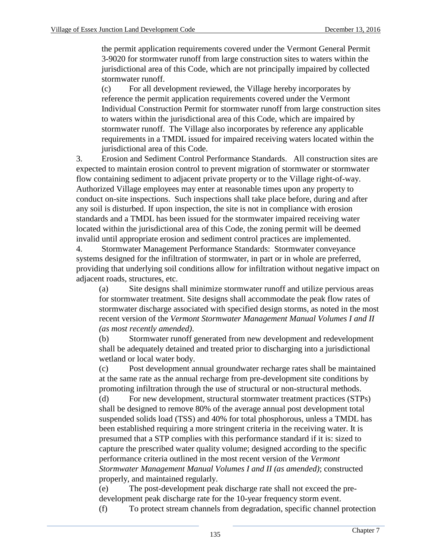the permit application requirements covered under the Vermont General Permit 3-9020 for stormwater runoff from large construction sites to waters within the jurisdictional area of this Code, which are not principally impaired by collected stormwater runoff.

(c) For all development reviewed, the Village hereby incorporates by reference the permit application requirements covered under the Vermont Individual Construction Permit for stormwater runoff from large construction sites to waters within the jurisdictional area of this Code, which are impaired by stormwater runoff. The Village also incorporates by reference any applicable requirements in a TMDL issued for impaired receiving waters located within the jurisdictional area of this Code.

3. Erosion and Sediment Control Performance Standards. All construction sites are expected to maintain erosion control to prevent migration of stormwater or stormwater flow containing sediment to adjacent private property or to the Village right-of-way. Authorized Village employees may enter at reasonable times upon any property to conduct on-site inspections. Such inspections shall take place before, during and after any soil is disturbed. If upon inspection, the site is not in compliance with erosion standards and a TMDL has been issued for the stormwater impaired receiving water located within the jurisdictional area of this Code, the zoning permit will be deemed invalid until appropriate erosion and sediment control practices are implemented.

4. Stormwater Management Performance Standards: Stormwater conveyance systems designed for the infiltration of stormwater, in part or in whole are preferred, providing that underlying soil conditions allow for infiltration without negative impact on adjacent roads, structures, etc.

(a) Site designs shall minimize stormwater runoff and utilize pervious areas for stormwater treatment. Site designs shall accommodate the peak flow rates of stormwater discharge associated with specified design storms, as noted in the most recent version of the *Vermont Stormwater Management Manual Volumes I and II (as most recently amended)*.

(b) Stormwater runoff generated from new development and redevelopment shall be adequately detained and treated prior to discharging into a jurisdictional wetland or local water body.

(c) Post development annual groundwater recharge rates shall be maintained at the same rate as the annual recharge from pre-development site conditions by promoting infiltration through the use of structural or non-structural methods.

(d) For new development, structural stormwater treatment practices (STPs) shall be designed to remove 80% of the average annual post development total suspended solids load (TSS) and 40% for total phosphorous, unless a TMDL has been established requiring a more stringent criteria in the receiving water. It is presumed that a STP complies with this performance standard if it is: sized to capture the prescribed water quality volume; designed according to the specific performance criteria outlined in the most recent version of the *Vermont Stormwater Management Manual Volumes I and II (as amended)*; constructed properly, and maintained regularly.

(e) The post-development peak discharge rate shall not exceed the predevelopment peak discharge rate for the 10-year frequency storm event.

(f) To protect stream channels from degradation, specific channel protection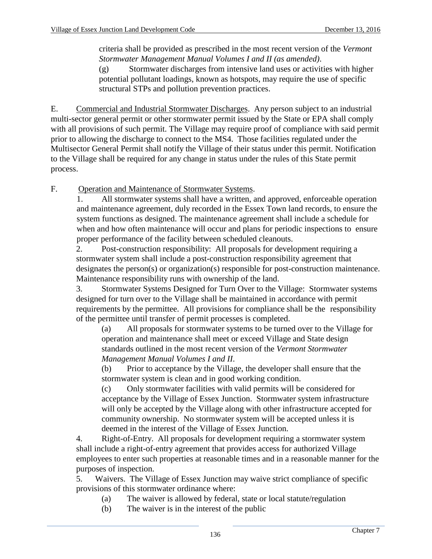criteria shall be provided as prescribed in the most recent version of the *Vermont Stormwater Management Manual Volumes I and II (as amended)*.

(g) Stormwater discharges from intensive land uses or activities with higher potential pollutant loadings, known as hotspots, may require the use of specific structural STPs and pollution prevention practices.

E. Commercial and Industrial Stormwater Discharges. Any person subject to an industrial multi-sector general permit or other stormwater permit issued by the State or EPA shall comply with all provisions of such permit. The Village may require proof of compliance with said permit prior to allowing the discharge to connect to the MS4. Those facilities regulated under the Multisector General Permit shall notify the Village of their status under this permit. Notification to the Village shall be required for any change in status under the rules of this State permit process.

F. Operation and Maintenance of Stormwater Systems.

1. All stormwater systems shall have a written, and approved, enforceable operation and maintenance agreement, duly recorded in the Essex Town land records, to ensure the system functions as designed. The maintenance agreement shall include a schedule for when and how often maintenance will occur and plans for periodic inspections to ensure proper performance of the facility between scheduled cleanouts.

2. Post-construction responsibility: All proposals for development requiring a stormwater system shall include a post-construction responsibility agreement that designates the person(s) or organization(s) responsible for post-construction maintenance. Maintenance responsibility runs with ownership of the land.

3. Stormwater Systems Designed for Turn Over to the Village: Stormwater systems designed for turn over to the Village shall be maintained in accordance with permit requirements by the permittee. All provisions for compliance shall be the responsibility of the permittee until transfer of permit processes is completed.

(a) All proposals for stormwater systems to be turned over to the Village for operation and maintenance shall meet or exceed Village and State design standards outlined in the most recent version of the *Vermont Stormwater Management Manual Volumes I and II*.

(b) Prior to acceptance by the Village, the developer shall ensure that the stormwater system is clean and in good working condition.

(c) Only stormwater facilities with valid permits will be considered for acceptance by the Village of Essex Junction. Stormwater system infrastructure will only be accepted by the Village along with other infrastructure accepted for community ownership. No stormwater system will be accepted unless it is deemed in the interest of the Village of Essex Junction.

4. Right-of-Entry. All proposals for development requiring a stormwater system shall include a right-of-entry agreement that provides access for authorized Village employees to enter such properties at reasonable times and in a reasonable manner for the purposes of inspection.

5. Waivers. The Village of Essex Junction may waive strict compliance of specific provisions of this stormwater ordinance where:

- (a) The waiver is allowed by federal, state or local statute/regulation
- (b) The waiver is in the interest of the public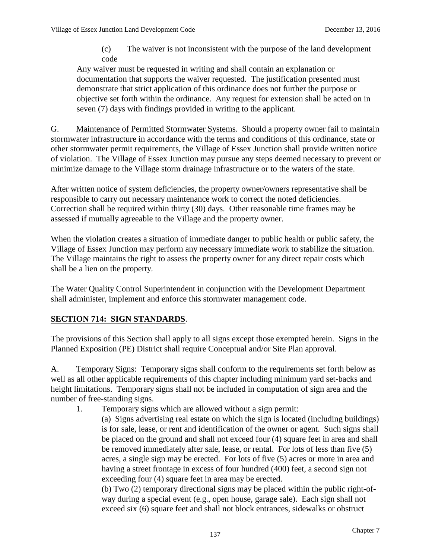(c) The waiver is not inconsistent with the purpose of the land development code

Any waiver must be requested in writing and shall contain an explanation or documentation that supports the waiver requested. The justification presented must demonstrate that strict application of this ordinance does not further the purpose or objective set forth within the ordinance. Any request for extension shall be acted on in seven (7) days with findings provided in writing to the applicant.

G. Maintenance of Permitted Stormwater Systems. Should a property owner fail to maintain stormwater infrastructure in accordance with the terms and conditions of this ordinance, state or other stormwater permit requirements, the Village of Essex Junction shall provide written notice of violation. The Village of Essex Junction may pursue any steps deemed necessary to prevent or minimize damage to the Village storm drainage infrastructure or to the waters of the state.

After written notice of system deficiencies, the property owner/owners representative shall be responsible to carry out necessary maintenance work to correct the noted deficiencies. Correction shall be required within thirty (30) days. Other reasonable time frames may be assessed if mutually agreeable to the Village and the property owner.

When the violation creates a situation of immediate danger to public health or public safety, the Village of Essex Junction may perform any necessary immediate work to stabilize the situation. The Village maintains the right to assess the property owner for any direct repair costs which shall be a lien on the property.

The Water Quality Control Superintendent in conjunction with the Development Department shall administer, implement and enforce this stormwater management code.

# **SECTION 714: SIGN STANDARDS**.

The provisions of this Section shall apply to all signs except those exempted herein. Signs in the Planned Exposition (PE) District shall require Conceptual and/or Site Plan approval.

A. Temporary Signs: Temporary signs shall conform to the requirements set forth below as well as all other applicable requirements of this chapter including minimum yard set-backs and height limitations. Temporary signs shall not be included in computation of sign area and the number of free-standing signs.

- 1. Temporary signs which are allowed without a sign permit:
	- (a) Signs advertising real estate on which the sign is located (including buildings) is for sale, lease, or rent and identification of the owner or agent. Such signs shall be placed on the ground and shall not exceed four (4) square feet in area and shall be removed immediately after sale, lease, or rental. For lots of less than five (5) acres, a single sign may be erected. For lots of five (5) acres or more in area and having a street frontage in excess of four hundred (400) feet, a second sign not exceeding four (4) square feet in area may be erected.

(b) Two (2) temporary directional signs may be placed within the public right-ofway during a special event (e.g., open house, garage sale). Each sign shall not exceed six (6) square feet and shall not block entrances, sidewalks or obstruct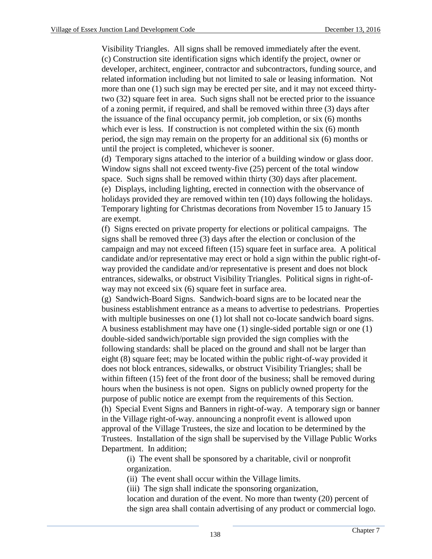Visibility Triangles. All signs shall be removed immediately after the event. (c) Construction site identification signs which identify the project, owner or developer, architect, engineer, contractor and subcontractors, funding source, and related information including but not limited to sale or leasing information. Not more than one (1) such sign may be erected per site, and it may not exceed thirtytwo (32) square feet in area. Such signs shall not be erected prior to the issuance of a zoning permit, if required, and shall be removed within three (3) days after the issuance of the final occupancy permit, job completion, or six (6) months which ever is less. If construction is not completed within the six (6) month period, the sign may remain on the property for an additional six (6) months or until the project is completed, whichever is sooner.

(d) Temporary signs attached to the interior of a building window or glass door. Window signs shall not exceed twenty-five (25) percent of the total window space. Such signs shall be removed within thirty (30) days after placement. (e) Displays, including lighting, erected in connection with the observance of holidays provided they are removed within ten (10) days following the holidays. Temporary lighting for Christmas decorations from November 15 to January 15 are exempt.

(f) Signs erected on private property for elections or political campaigns. The signs shall be removed three (3) days after the election or conclusion of the campaign and may not exceed fifteen (15) square feet in surface area. A political candidate and/or representative may erect or hold a sign within the public right-ofway provided the candidate and/or representative is present and does not block entrances, sidewalks, or obstruct Visibility Triangles. Political signs in right-ofway may not exceed six (6) square feet in surface area.

(g) Sandwich-Board Signs. Sandwich-board signs are to be located near the business establishment entrance as a means to advertise to pedestrians. Properties with multiple businesses on one (1) lot shall not co-locate sandwich board signs. A business establishment may have one (1) single-sided portable sign or one (1) double-sided sandwich/portable sign provided the sign complies with the following standards: shall be placed on the ground and shall not be larger than eight (8) square feet; may be located within the public right-of-way provided it does not block entrances, sidewalks, or obstruct Visibility Triangles; shall be within fifteen (15) feet of the front door of the business; shall be removed during hours when the business is not open. Signs on publicly owned property for the purpose of public notice are exempt from the requirements of this Section. (h) Special Event Signs and Banners in right-of-way. A temporary sign or banner in the Village right-of-way. announcing a nonprofit event is allowed upon approval of the Village Trustees, the size and location to be determined by the Trustees. Installation of the sign shall be supervised by the Village Public Works Department. In addition;

(i) The event shall be sponsored by a charitable, civil or nonprofit organization.

(ii) The event shall occur within the Village limits.

(iii) The sign shall indicate the sponsoring organization,

location and duration of the event. No more than twenty (20) percent of the sign area shall contain advertising of any product or commercial logo.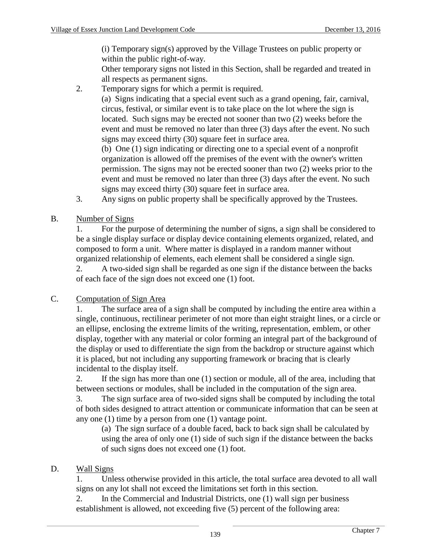(i) Temporary sign(s) approved by the Village Trustees on public property or within the public right-of-way.

Other temporary signs not listed in this Section, shall be regarded and treated in all respects as permanent signs.

2. Temporary signs for which a permit is required.

(a) Signs indicating that a special event such as a grand opening, fair, carnival, circus, festival, or similar event is to take place on the lot where the sign is located. Such signs may be erected not sooner than two (2) weeks before the event and must be removed no later than three (3) days after the event. No such signs may exceed thirty (30) square feet in surface area.

(b) One (1) sign indicating or directing one to a special event of a nonprofit organization is allowed off the premises of the event with the owner's written permission. The signs may not be erected sooner than two (2) weeks prior to the event and must be removed no later than three (3) days after the event. No such signs may exceed thirty (30) square feet in surface area.

- 3. Any signs on public property shall be specifically approved by the Trustees.
- B. Number of Signs

1. For the purpose of determining the number of signs, a sign shall be considered to be a single display surface or display device containing elements organized, related, and composed to form a unit. Where matter is displayed in a random manner without organized relationship of elements, each element shall be considered a single sign.

2. A two-sided sign shall be regarded as one sign if the distance between the backs of each face of the sign does not exceed one (1) foot.

### C. Computation of Sign Area

1. The surface area of a sign shall be computed by including the entire area within a single, continuous, rectilinear perimeter of not more than eight straight lines, or a circle or an ellipse, enclosing the extreme limits of the writing, representation, emblem, or other display, together with any material or color forming an integral part of the background of the display or used to differentiate the sign from the backdrop or structure against which it is placed, but not including any supporting framework or bracing that is clearly incidental to the display itself.

2. If the sign has more than one (1) section or module, all of the area, including that between sections or modules, shall be included in the computation of the sign area.

3. The sign surface area of two-sided signs shall be computed by including the total of both sides designed to attract attention or communicate information that can be seen at any one (1) time by a person from one (1) vantage point.

(a) The sign surface of a double faced, back to back sign shall be calculated by using the area of only one (1) side of such sign if the distance between the backs of such signs does not exceed one (1) foot.

### D. Wall Signs

1. Unless otherwise provided in this article, the total surface area devoted to all wall signs on any lot shall not exceed the limitations set forth in this section.

2. In the Commercial and Industrial Districts, one (1) wall sign per business establishment is allowed, not exceeding five (5) percent of the following area: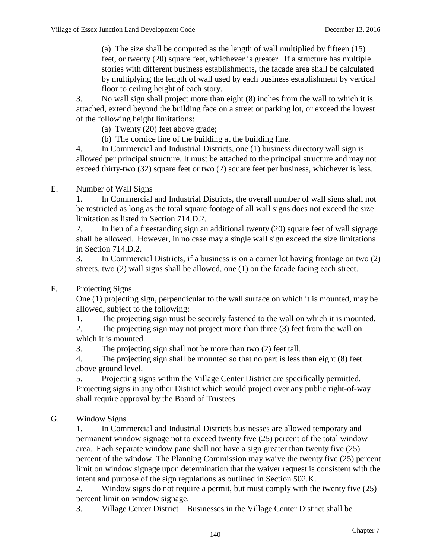(a) The size shall be computed as the length of wall multiplied by fifteen (15) feet, or twenty (20) square feet, whichever is greater. If a structure has multiple stories with different business establishments, the facade area shall be calculated by multiplying the length of wall used by each business establishment by vertical floor to ceiling height of each story.

3. No wall sign shall project more than eight (8) inches from the wall to which it is attached, extend beyond the building face on a street or parking lot, or exceed the lowest of the following height limitations:

(a) Twenty (20) feet above grade;

(b) The cornice line of the building at the building line.

4. In Commercial and Industrial Districts, one (1) business directory wall sign is allowed per principal structure. It must be attached to the principal structure and may not exceed thirty-two (32) square feet or two (2) square feet per business, whichever is less.

### E. Number of Wall Signs

1. In Commercial and Industrial Districts, the overall number of wall signs shall not be restricted as long as the total square footage of all wall signs does not exceed the size limitation as listed in Section 714.D.2.

2. In lieu of a freestanding sign an additional twenty (20) square feet of wall signage shall be allowed. However, in no case may a single wall sign exceed the size limitations in Section 714.D.2.

3. In Commercial Districts, if a business is on a corner lot having frontage on two (2) streets, two (2) wall signs shall be allowed, one (1) on the facade facing each street.

### F. Projecting Signs

One (1) projecting sign, perpendicular to the wall surface on which it is mounted, may be allowed, subject to the following:

1. The projecting sign must be securely fastened to the wall on which it is mounted.

2. The projecting sign may not project more than three (3) feet from the wall on which it is mounted.

3. The projecting sign shall not be more than two (2) feet tall.

4. The projecting sign shall be mounted so that no part is less than eight (8) feet above ground level.

5. Projecting signs within the Village Center District are specifically permitted. Projecting signs in any other District which would project over any public right-of-way shall require approval by the Board of Trustees.

### G. Window Signs

1. In Commercial and Industrial Districts businesses are allowed temporary and permanent window signage not to exceed twenty five (25) percent of the total window area. Each separate window pane shall not have a sign greater than twenty five (25) percent of the window. The Planning Commission may waive the twenty five (25) percent limit on window signage upon determination that the waiver request is consistent with the intent and purpose of the sign regulations as outlined in Section 502.K.

2. Window signs do not require a permit, but must comply with the twenty five (25) percent limit on window signage.

3. Village Center District – Businesses in the Village Center District shall be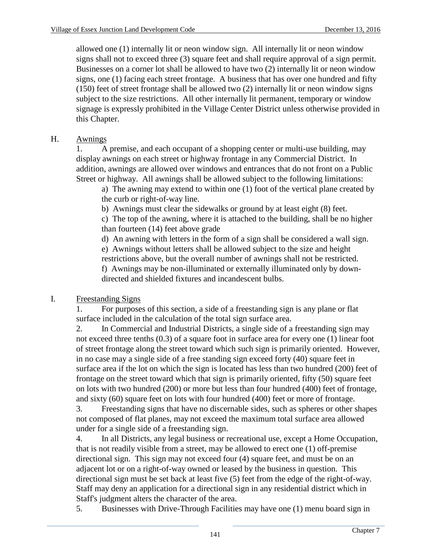allowed one (1) internally lit or neon window sign. All internally lit or neon window signs shall not to exceed three (3) square feet and shall require approval of a sign permit. Businesses on a corner lot shall be allowed to have two (2) internally lit or neon window signs, one (1) facing each street frontage. A business that has over one hundred and fifty (150) feet of street frontage shall be allowed two (2) internally lit or neon window signs subject to the size restrictions. All other internally lit permanent, temporary or window signage is expressly prohibited in the Village Center District unless otherwise provided in this Chapter.

## H. Awnings

1. A premise, and each occupant of a shopping center or multi-use building, may display awnings on each street or highway frontage in any Commercial District. In addition, awnings are allowed over windows and entrances that do not front on a Public Street or highway. All awnings shall be allowed subject to the following limitations:

a) The awning may extend to within one (1) foot of the vertical plane created by the curb or right-of-way line.

b) Awnings must clear the sidewalks or ground by at least eight (8) feet.

c) The top of the awning, where it is attached to the building, shall be no higher than fourteen (14) feet above grade

d) An awning with letters in the form of a sign shall be considered a wall sign.

e) Awnings without letters shall be allowed subject to the size and height restrictions above, but the overall number of awnings shall not be restricted. f) Awnings may be non-illuminated or externally illuminated only by downdirected and shielded fixtures and incandescent bulbs.

### I. Freestanding Signs

1. For purposes of this section, a side of a freestanding sign is any plane or flat surface included in the calculation of the total sign surface area.

2. In Commercial and Industrial Districts, a single side of a freestanding sign may not exceed three tenths (0.3) of a square foot in surface area for every one (1) linear foot of street frontage along the street toward which such sign is primarily oriented. However, in no case may a single side of a free standing sign exceed forty (40) square feet in surface area if the lot on which the sign is located has less than two hundred (200) feet of frontage on the street toward which that sign is primarily oriented, fifty (50) square feet on lots with two hundred (200) or more but less than four hundred (400) feet of frontage, and sixty (60) square feet on lots with four hundred (400) feet or more of frontage.

3. Freestanding signs that have no discernable sides, such as spheres or other shapes not composed of flat planes, may not exceed the maximum total surface area allowed under for a single side of a freestanding sign.

4. In all Districts, any legal business or recreational use, except a Home Occupation, that is not readily visible from a street, may be allowed to erect one (1) off-premise directional sign. This sign may not exceed four (4) square feet, and must be on an adjacent lot or on a right-of-way owned or leased by the business in question. This directional sign must be set back at least five (5) feet from the edge of the right-of-way. Staff may deny an application for a directional sign in any residential district which in Staff's judgment alters the character of the area.

5. Businesses with Drive-Through Facilities may have one (1) menu board sign in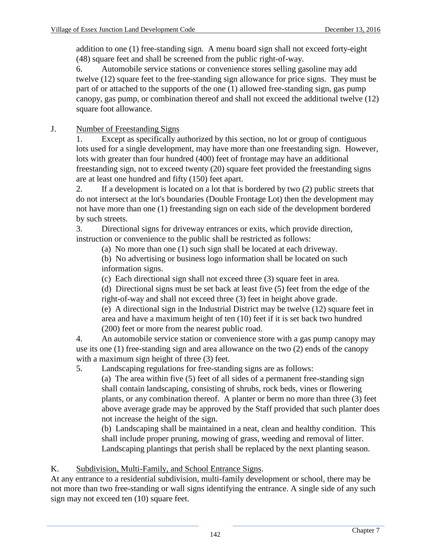addition to one (1) free-standing sign. A menu board sign shall not exceed forty-eight (48) square feet and shall be screened from the public right-of-way.

6. Automobile service stations or convenience stores selling gasoline may add twelve (12) square feet to the free-standing sign allowance for price signs. They must be part of or attached to the supports of the one (1) allowed free-standing sign, gas pump canopy, gas pump, or combination thereof and shall not exceed the additional twelve (12) square foot allowance.

### J. Number of Freestanding Signs

1. Except as specifically authorized by this section, no lot or group of contiguous lots used for a single development, may have more than one freestanding sign. However, lots with greater than four hundred (400) feet of frontage may have an additional freestanding sign, not to exceed twenty (20) square feet provided the freestanding signs are at least one hundred and fifty (150) feet apart.

2. If a development is located on a lot that is bordered by two (2) public streets that do not intersect at the lot's boundaries (Double Frontage Lot) then the development may not have more than one (1) freestanding sign on each side of the development bordered by such streets.

3. Directional signs for driveway entrances or exits, which provide direction, instruction or convenience to the public shall be restricted as follows:

(a) No more than one (1) such sign shall be located at each driveway.

(b) No advertising or business logo information shall be located on such information signs.

(c) Each directional sign shall not exceed three (3) square feet in area.

(d) Directional signs must be set back at least five (5) feet from the edge of the right-of-way and shall not exceed three (3) feet in height above grade.

(e) A directional sign in the Industrial District may be twelve (12) square feet in area and have a maximum height of ten (10) feet if it is set back two hundred (200) feet or more from the nearest public road.

4. An automobile service station or convenience store with a gas pump canopy may use its one (1) free-standing sign and area allowance on the two (2) ends of the canopy with a maximum sign height of three (3) feet.

5. Landscaping regulations for free-standing signs are as follows:

(a) The area within five (5) feet of all sides of a permanent free-standing sign shall contain landscaping, consisting of shrubs, rock beds, vines or flowering plants, or any combination thereof. A planter or berm no more than three (3) feet above average grade may be approved by the Staff provided that such planter does not increase the height of the sign.

(b) Landscaping shall be maintained in a neat, clean and healthy condition. This shall include proper pruning, mowing of grass, weeding and removal of litter. Landscaping plantings that perish shall be replaced by the next planting season.

### K. Subdivision, Multi-Family, and School Entrance Signs.

At any entrance to a residential subdivision, multi-family development or school, there may be not more than two free-standing or wall signs identifying the entrance. A single side of any such sign may not exceed ten (10) square feet.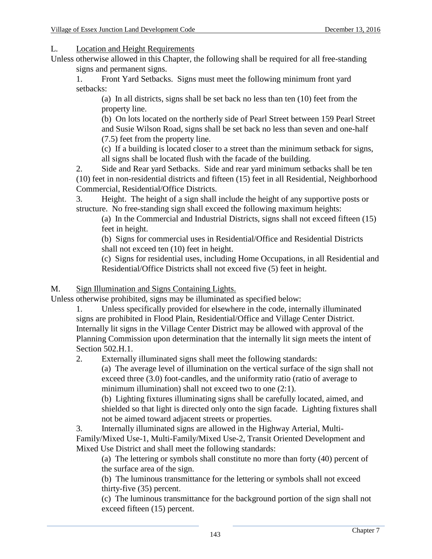L. Location and Height Requirements

Unless otherwise allowed in this Chapter, the following shall be required for all free-standing signs and permanent signs.

1. Front Yard Setbacks. Signs must meet the following minimum front yard setbacks:

(a) In all districts, signs shall be set back no less than ten (10) feet from the property line.

(b) On lots located on the northerly side of Pearl Street between 159 Pearl Street and Susie Wilson Road, signs shall be set back no less than seven and one-half (7.5) feet from the property line.

(c) If a building is located closer to a street than the minimum setback for signs, all signs shall be located flush with the facade of the building.

2. Side and Rear yard Setbacks. Side and rear yard minimum setbacks shall be ten (10) feet in non-residential districts and fifteen (15) feet in all Residential, Neighborhood Commercial, Residential/Office Districts.

3. Height. The height of a sign shall include the height of any supportive posts or structure. No free-standing sign shall exceed the following maximum heights:

(a) In the Commercial and Industrial Districts, signs shall not exceed fifteen (15) feet in height.

(b) Signs for commercial uses in Residential/Office and Residential Districts shall not exceed ten (10) feet in height.

(c) Signs for residential uses, including Home Occupations, in all Residential and Residential/Office Districts shall not exceed five (5) feet in height.

M. Sign Illumination and Signs Containing Lights.

Unless otherwise prohibited, signs may be illuminated as specified below:

1. Unless specifically provided for elsewhere in the code, internally illuminated signs are prohibited in Flood Plain, Residential/Office and Village Center District. Internally lit signs in the Village Center District may be allowed with approval of the Planning Commission upon determination that the internally lit sign meets the intent of Section 502.H.1.

2. Externally illuminated signs shall meet the following standards:

(a) The average level of illumination on the vertical surface of the sign shall not exceed three (3.0) foot-candles, and the uniformity ratio (ratio of average to minimum illumination) shall not exceed two to one (2:1).

(b) Lighting fixtures illuminating signs shall be carefully located, aimed, and shielded so that light is directed only onto the sign facade. Lighting fixtures shall not be aimed toward adjacent streets or properties.

3. Internally illuminated signs are allowed in the Highway Arterial, Multi-Family/Mixed Use-1, Multi-Family/Mixed Use-2, Transit Oriented Development and Mixed Use District and shall meet the following standards:

(a) The lettering or symbols shall constitute no more than forty (40) percent of the surface area of the sign.

(b) The luminous transmittance for the lettering or symbols shall not exceed thirty-five (35) percent.

(c) The luminous transmittance for the background portion of the sign shall not exceed fifteen (15) percent.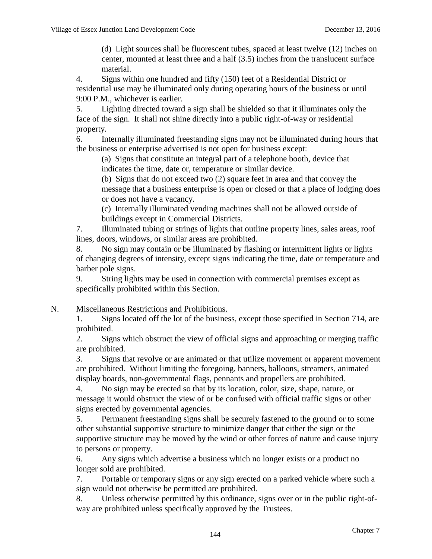(d) Light sources shall be fluorescent tubes, spaced at least twelve (12) inches on center, mounted at least three and a half (3.5) inches from the translucent surface material.

4. Signs within one hundred and fifty (150) feet of a Residential District or residential use may be illuminated only during operating hours of the business or until 9:00 P.M., whichever is earlier.

5. Lighting directed toward a sign shall be shielded so that it illuminates only the face of the sign. It shall not shine directly into a public right-of-way or residential property.

6. Internally illuminated freestanding signs may not be illuminated during hours that the business or enterprise advertised is not open for business except:

(a) Signs that constitute an integral part of a telephone booth, device that indicates the time, date or, temperature or similar device.

(b) Signs that do not exceed two (2) square feet in area and that convey the message that a business enterprise is open or closed or that a place of lodging does or does not have a vacancy.

(c) Internally illuminated vending machines shall not be allowed outside of buildings except in Commercial Districts.

7. Illuminated tubing or strings of lights that outline property lines, sales areas, roof lines, doors, windows, or similar areas are prohibited.

8. No sign may contain or be illuminated by flashing or intermittent lights or lights of changing degrees of intensity, except signs indicating the time, date or temperature and barber pole signs.

9. String lights may be used in connection with commercial premises except as specifically prohibited within this Section.

### N. Miscellaneous Restrictions and Prohibitions.

1. Signs located off the lot of the business, except those specified in Section 714, are prohibited.

2. Signs which obstruct the view of official signs and approaching or merging traffic are prohibited.

3. Signs that revolve or are animated or that utilize movement or apparent movement are prohibited. Without limiting the foregoing, banners, balloons, streamers, animated display boards, non-governmental flags, pennants and propellers are prohibited.

4. No sign may be erected so that by its location, color, size, shape, nature, or message it would obstruct the view of or be confused with official traffic signs or other signs erected by governmental agencies.

5. Permanent freestanding signs shall be securely fastened to the ground or to some other substantial supportive structure to minimize danger that either the sign or the supportive structure may be moved by the wind or other forces of nature and cause injury to persons or property.

6. Any signs which advertise a business which no longer exists or a product no longer sold are prohibited.

7. Portable or temporary signs or any sign erected on a parked vehicle where such a sign would not otherwise be permitted are prohibited.

8. Unless otherwise permitted by this ordinance, signs over or in the public right-ofway are prohibited unless specifically approved by the Trustees.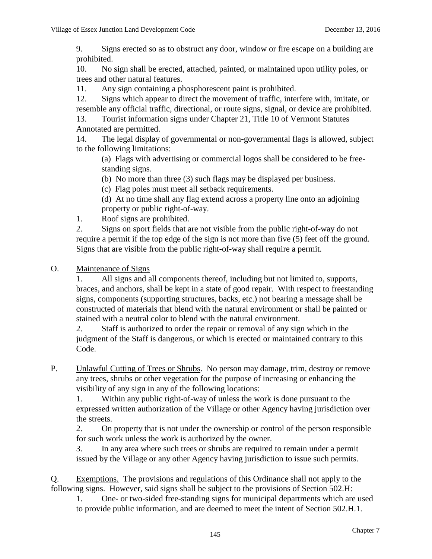9. Signs erected so as to obstruct any door, window or fire escape on a building are prohibited.

10. No sign shall be erected, attached, painted, or maintained upon utility poles, or trees and other natural features.

11. Any sign containing a phosphorescent paint is prohibited.

12. Signs which appear to direct the movement of traffic, interfere with, imitate, or resemble any official traffic, directional, or route signs, signal, or device are prohibited.

13. Tourist information signs under Chapter 21, Title 10 of Vermont Statutes Annotated are permitted.

14. The legal display of governmental or non-governmental flags is allowed, subject to the following limitations:

(a) Flags with advertising or commercial logos shall be considered to be freestanding signs.

(b) No more than three (3) such flags may be displayed per business.

(c) Flag poles must meet all setback requirements.

(d) At no time shall any flag extend across a property line onto an adjoining property or public right-of-way.

1. Roof signs are prohibited.

2. Signs on sport fields that are not visible from the public right-of-way do not require a permit if the top edge of the sign is not more than five (5) feet off the ground. Signs that are visible from the public right-of-way shall require a permit.

O. Maintenance of Signs

1. All signs and all components thereof, including but not limited to, supports, braces, and anchors, shall be kept in a state of good repair. With respect to freestanding signs, components (supporting structures, backs, etc.) not bearing a message shall be constructed of materials that blend with the natural environment or shall be painted or stained with a neutral color to blend with the natural environment.

2. Staff is authorized to order the repair or removal of any sign which in the judgment of the Staff is dangerous, or which is erected or maintained contrary to this Code.

P. Unlawful Cutting of Trees or Shrubs. No person may damage, trim, destroy or remove any trees, shrubs or other vegetation for the purpose of increasing or enhancing the visibility of any sign in any of the following locations:

1. Within any public right-of-way of unless the work is done pursuant to the expressed written authorization of the Village or other Agency having jurisdiction over the streets.

2. On property that is not under the ownership or control of the person responsible for such work unless the work is authorized by the owner.

3. In any area where such trees or shrubs are required to remain under a permit issued by the Village or any other Agency having jurisdiction to issue such permits.

Q. Exemptions. The provisions and regulations of this Ordinance shall not apply to the following signs. However, said signs shall be subject to the provisions of Section 502.H:

1. One- or two-sided free-standing signs for municipal departments which are used to provide public information, and are deemed to meet the intent of Section 502.H.1.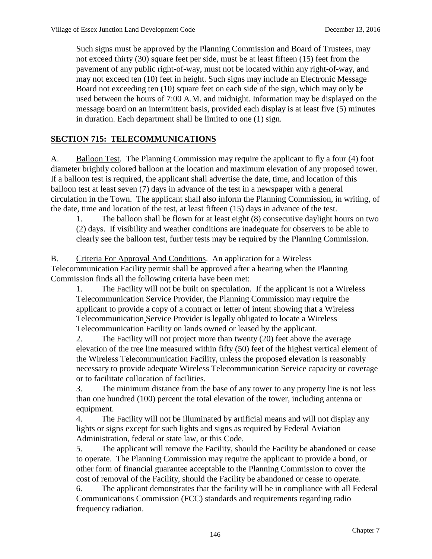Such signs must be approved by the Planning Commission and Board of Trustees, may not exceed thirty (30) square feet per side, must be at least fifteen (15) feet from the pavement of any public right-of-way, must not be located within any right-of-way, and may not exceed ten (10) feet in height. Such signs may include an Electronic Message Board not exceeding ten (10) square feet on each side of the sign, which may only be used between the hours of 7:00 A.M. and midnight. Information may be displayed on the message board on an intermittent basis, provided each display is at least five (5) minutes in duration. Each department shall be limited to one (1) sign.

# **SECTION 715: TELECOMMUNICATIONS**

A. Balloon Test. The Planning Commission may require the applicant to fly a four (4) foot diameter brightly colored balloon at the location and maximum elevation of any proposed tower. If a balloon test is required, the applicant shall advertise the date, time, and location of this balloon test at least seven (7) days in advance of the test in a newspaper with a general circulation in the Town. The applicant shall also inform the Planning Commission, in writing, of the date, time and location of the test, at least fifteen (15) days in advance of the test.

1. The balloon shall be flown for at least eight (8) consecutive daylight hours on two (2) days. If visibility and weather conditions are inadequate for observers to be able to clearly see the balloon test, further tests may be required by the Planning Commission.

B. Criteria For Approval And Conditions. An application for a Wireless Telecommunication Facility permit shall be approved after a hearing when the Planning Commission finds all the following criteria have been met:

1. The Facility will not be built on speculation. If the applicant is not a Wireless Telecommunication Service Provider, the Planning Commission may require the applicant to provide a copy of a contract or letter of intent showing that a Wireless Telecommunication Service Provider is legally obligated to locate a Wireless Telecommunication Facility on lands owned or leased by the applicant.

2. The Facility will not project more than twenty (20) feet above the average elevation of the tree line measured within fifty (50) feet of the highest vertical element of the Wireless Telecommunication Facility, unless the proposed elevation is reasonably necessary to provide adequate Wireless Telecommunication Service capacity or coverage or to facilitate collocation of facilities.

3. The minimum distance from the base of any tower to any property line is not less than one hundred (100) percent the total elevation of the tower, including antenna or equipment.

4. The Facility will not be illuminated by artificial means and will not display any lights or signs except for such lights and signs as required by Federal Aviation Administration, federal or state law, or this Code.

5. The applicant will remove the Facility, should the Facility be abandoned or cease to operate. The Planning Commission may require the applicant to provide a bond, or other form of financial guarantee acceptable to the Planning Commission to cover the cost of removal of the Facility, should the Facility be abandoned or cease to operate.

6. The applicant demonstrates that the facility will be in compliance with all Federal Communications Commission (FCC) standards and requirements regarding radio frequency radiation.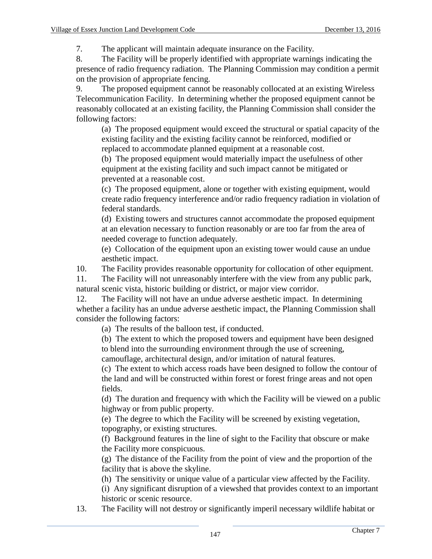7. The applicant will maintain adequate insurance on the Facility.

8. The Facility will be properly identified with appropriate warnings indicating the presence of radio frequency radiation. The Planning Commission may condition a permit on the provision of appropriate fencing.

9. The proposed equipment cannot be reasonably collocated at an existing Wireless Telecommunication Facility. In determining whether the proposed equipment cannot be reasonably collocated at an existing facility, the Planning Commission shall consider the following factors:

(a) The proposed equipment would exceed the structural or spatial capacity of the existing facility and the existing facility cannot be reinforced, modified or replaced to accommodate planned equipment at a reasonable cost.

(b) The proposed equipment would materially impact the usefulness of other equipment at the existing facility and such impact cannot be mitigated or prevented at a reasonable cost.

(c) The proposed equipment, alone or together with existing equipment, would create radio frequency interference and/or radio frequency radiation in violation of federal standards.

(d) Existing towers and structures cannot accommodate the proposed equipment at an elevation necessary to function reasonably or are too far from the area of needed coverage to function adequately.

(e) Collocation of the equipment upon an existing tower would cause an undue aesthetic impact.

10. The Facility provides reasonable opportunity for collocation of other equipment.

11. The Facility will not unreasonably interfere with the view from any public park, natural scenic vista, historic building or district, or major view corridor.

12. The Facility will not have an undue adverse aesthetic impact. In determining whether a facility has an undue adverse aesthetic impact, the Planning Commission shall consider the following factors:

(a) The results of the balloon test, if conducted.

(b) The extent to which the proposed towers and equipment have been designed to blend into the surrounding environment through the use of screening, camouflage, architectural design, and/or imitation of natural features.

(c) The extent to which access roads have been designed to follow the contour of the land and will be constructed within forest or forest fringe areas and not open fields.

(d) The duration and frequency with which the Facility will be viewed on a public highway or from public property.

(e) The degree to which the Facility will be screened by existing vegetation, topography, or existing structures.

(f) Background features in the line of sight to the Facility that obscure or make the Facility more conspicuous.

(g) The distance of the Facility from the point of view and the proportion of the facility that is above the skyline.

(h) The sensitivity or unique value of a particular view affected by the Facility.

(i) Any significant disruption of a viewshed that provides context to an important historic or scenic resource.

13. The Facility will not destroy or significantly imperil necessary wildlife habitat or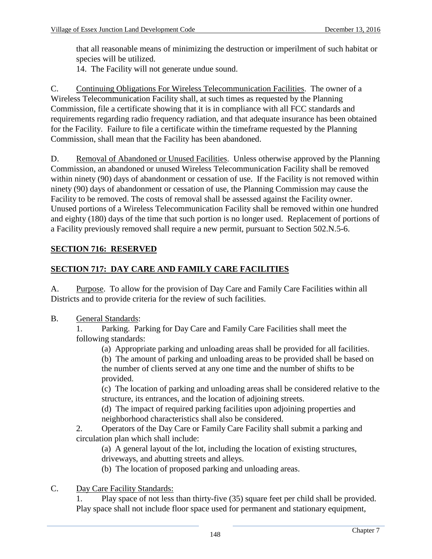that all reasonable means of minimizing the destruction or imperilment of such habitat or species will be utilized.

14. The Facility will not generate undue sound.

C. Continuing Obligations For Wireless Telecommunication Facilities. The owner of a Wireless Telecommunication Facility shall, at such times as requested by the Planning Commission, file a certificate showing that it is in compliance with all FCC standards and requirements regarding radio frequency radiation, and that adequate insurance has been obtained for the Facility. Failure to file a certificate within the timeframe requested by the Planning Commission, shall mean that the Facility has been abandoned.

D. Removal of Abandoned or Unused Facilities. Unless otherwise approved by the Planning Commission, an abandoned or unused Wireless Telecommunication Facility shall be removed within ninety (90) days of abandonment or cessation of use. If the Facility is not removed within ninety (90) days of abandonment or cessation of use, the Planning Commission may cause the Facility to be removed. The costs of removal shall be assessed against the Facility owner. Unused portions of a Wireless Telecommunication Facility shall be removed within one hundred and eighty (180) days of the time that such portion is no longer used. Replacement of portions of a Facility previously removed shall require a new permit, pursuant to Section 502.N.5-6.

## **SECTION 716: RESERVED**

# **SECTION 717: DAY CARE AND FAMILY CARE FACILITIES**

A. Purpose. To allow for the provision of Day Care and Family Care Facilities within all Districts and to provide criteria for the review of such facilities.

B. General Standards:

1. Parking. Parking for Day Care and Family Care Facilities shall meet the following standards:

(a) Appropriate parking and unloading areas shall be provided for all facilities.

(b) The amount of parking and unloading areas to be provided shall be based on the number of clients served at any one time and the number of shifts to be provided.

(c) The location of parking and unloading areas shall be considered relative to the structure, its entrances, and the location of adjoining streets.

(d) The impact of required parking facilities upon adjoining properties and neighborhood characteristics shall also be considered.

2. Operators of the Day Care or Family Care Facility shall submit a parking and circulation plan which shall include:

(a) A general layout of the lot, including the location of existing structures, driveways, and abutting streets and alleys.

(b) The location of proposed parking and unloading areas.

### C. Day Care Facility Standards:

1. Play space of not less than thirty-five (35) square feet per child shall be provided. Play space shall not include floor space used for permanent and stationary equipment,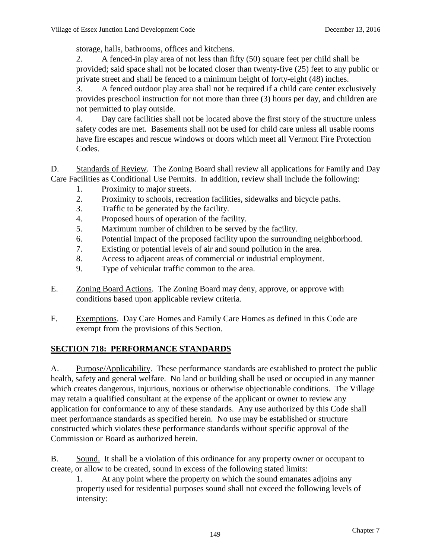storage, halls, bathrooms, offices and kitchens.

2. A fenced-in play area of not less than fifty (50) square feet per child shall be provided; said space shall not be located closer than twenty-five (25) feet to any public or private street and shall be fenced to a minimum height of forty-eight (48) inches.

3. A fenced outdoor play area shall not be required if a child care center exclusively provides preschool instruction for not more than three (3) hours per day, and children are not permitted to play outside.

4. Day care facilities shall not be located above the first story of the structure unless safety codes are met. Basements shall not be used for child care unless all usable rooms have fire escapes and rescue windows or doors which meet all Vermont Fire Protection Codes.

D. Standards of Review. The Zoning Board shall review all applications for Family and Day Care Facilities as Conditional Use Permits. In addition, review shall include the following:

- 1. Proximity to major streets.
- 2. Proximity to schools, recreation facilities, sidewalks and bicycle paths.
- 3. Traffic to be generated by the facility.
- 4. Proposed hours of operation of the facility.
- 5. Maximum number of children to be served by the facility.
- 6. Potential impact of the proposed facility upon the surrounding neighborhood.
- 7. Existing or potential levels of air and sound pollution in the area.
- 8. Access to adjacent areas of commercial or industrial employment.
- 9. Type of vehicular traffic common to the area.
- E. Zoning Board Actions. The Zoning Board may deny, approve, or approve with conditions based upon applicable review criteria.
- F. Exemptions. Day Care Homes and Family Care Homes as defined in this Code are exempt from the provisions of this Section.

# **SECTION 718: PERFORMANCE STANDARDS**

A. Purpose/Applicability. These performance standards are established to protect the public health, safety and general welfare. No land or building shall be used or occupied in any manner which creates dangerous, injurious, noxious or otherwise objectionable conditions. The Village may retain a qualified consultant at the expense of the applicant or owner to review any application for conformance to any of these standards. Any use authorized by this Code shall meet performance standards as specified herein. No use may be established or structure constructed which violates these performance standards without specific approval of the Commission or Board as authorized herein.

B. Sound. It shall be a violation of this ordinance for any property owner or occupant to create, or allow to be created, sound in excess of the following stated limits:

1. At any point where the property on which the sound emanates adjoins any property used for residential purposes sound shall not exceed the following levels of intensity: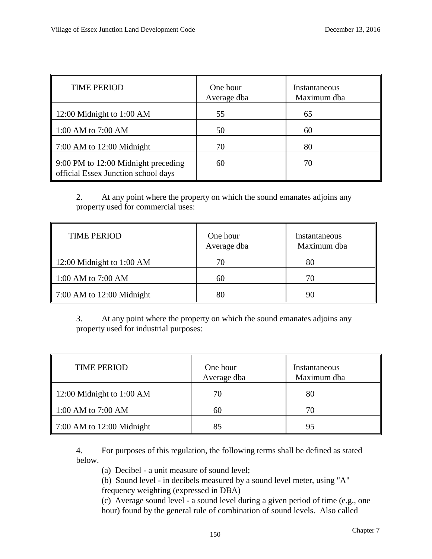| <b>TIME PERIOD</b>                                                         | One hour<br>Average dba | Instantaneous<br>Maximum dba |
|----------------------------------------------------------------------------|-------------------------|------------------------------|
| 12:00 Midnight to 1:00 AM                                                  | 55                      | 65                           |
| 1:00 AM to 7:00 AM                                                         | 50                      | 60                           |
| $7:00$ AM to $12:00$ Midnight                                              | 70                      | 80                           |
| 9:00 PM to 12:00 Midnight preceding<br>official Essex Junction school days | 60                      | 70                           |

2. At any point where the property on which the sound emanates adjoins any property used for commercial uses:

| <b>TIME PERIOD</b>            | One hour<br>Average dba | Instantaneous<br>Maximum dba |
|-------------------------------|-------------------------|------------------------------|
| 12:00 Midnight to 1:00 AM     | 70                      | 80                           |
| 1:00 AM to 7:00 AM            | 60                      | 70                           |
| $7:00$ AM to $12:00$ Midnight | 80                      | 90                           |

3. At any point where the property on which the sound emanates adjoins any property used for industrial purposes:

| <b>TIME PERIOD</b>                    | One hour<br>Average dba | Instantaneous<br>Maximum dba |
|---------------------------------------|-------------------------|------------------------------|
| 12:00 Midnight to 1:00 AM             | 70                      | 80                           |
| 1:00 AM to 7:00 AM                    | 60                      | 70                           |
| $\parallel$ 7:00 AM to 12:00 Midnight | 85                      | 95                           |

4. For purposes of this regulation, the following terms shall be defined as stated below.

(a) Decibel - a unit measure of sound level;

(b) Sound level - in decibels measured by a sound level meter, using "A" frequency weighting (expressed in DBA)

(c) Average sound level - a sound level during a given period of time (e.g., one hour) found by the general rule of combination of sound levels. Also called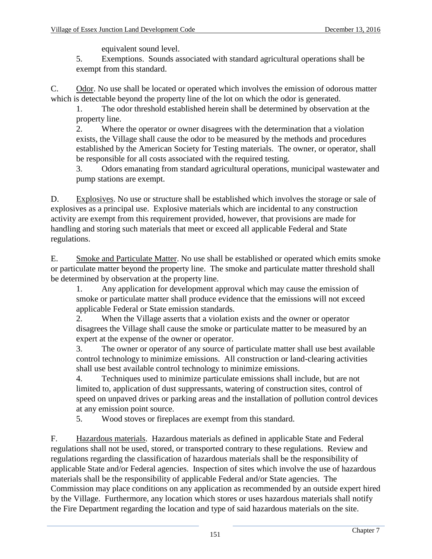equivalent sound level.

5. Exemptions. Sounds associated with standard agricultural operations shall be exempt from this standard.

C. Odor. No use shall be located or operated which involves the emission of odorous matter which is detectable beyond the property line of the lot on which the odor is generated.

1. The odor threshold established herein shall be determined by observation at the property line.

2. Where the operator or owner disagrees with the determination that a violation exists, the Village shall cause the odor to be measured by the methods and procedures established by the American Society for Testing materials. The owner, or operator, shall be responsible for all costs associated with the required testing.

3. Odors emanating from standard agricultural operations, municipal wastewater and pump stations are exempt.

D. Explosives. No use or structure shall be established which involves the storage or sale of explosives as a principal use. Explosive materials which are incidental to any construction activity are exempt from this requirement provided, however, that provisions are made for handling and storing such materials that meet or exceed all applicable Federal and State regulations.

E. Smoke and Particulate Matter. No use shall be established or operated which emits smoke or particulate matter beyond the property line. The smoke and particulate matter threshold shall be determined by observation at the property line.

1. Any application for development approval which may cause the emission of smoke or particulate matter shall produce evidence that the emissions will not exceed applicable Federal or State emission standards.

2. When the Village asserts that a violation exists and the owner or operator disagrees the Village shall cause the smoke or particulate matter to be measured by an expert at the expense of the owner or operator.

3. The owner or operator of any source of particulate matter shall use best available control technology to minimize emissions. All construction or land-clearing activities shall use best available control technology to minimize emissions.

4. Techniques used to minimize particulate emissions shall include, but are not limited to, application of dust suppressants, watering of construction sites, control of speed on unpaved drives or parking areas and the installation of pollution control devices at any emission point source.

5. Wood stoves or fireplaces are exempt from this standard.

F. Hazardous materials. Hazardous materials as defined in applicable State and Federal regulations shall not be used, stored, or transported contrary to these regulations. Review and regulations regarding the classification of hazardous materials shall be the responsibility of applicable State and/or Federal agencies. Inspection of sites which involve the use of hazardous materials shall be the responsibility of applicable Federal and/or State agencies. The Commission may place conditions on any application as recommended by an outside expert hired by the Village. Furthermore, any location which stores or uses hazardous materials shall notify the Fire Department regarding the location and type of said hazardous materials on the site.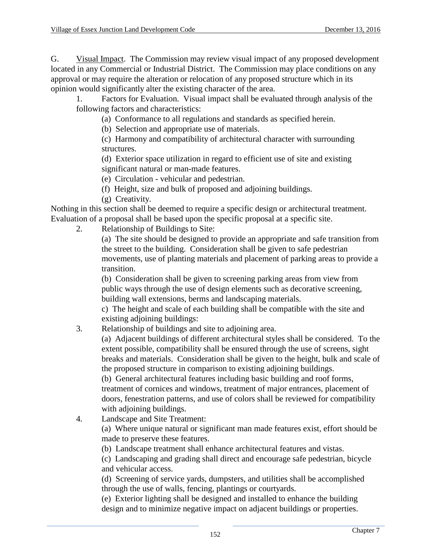G. Visual Impact. The Commission may review visual impact of any proposed development located in any Commercial or Industrial District. The Commission may place conditions on any approval or may require the alteration or relocation of any proposed structure which in its opinion would significantly alter the existing character of the area.

1. Factors for Evaluation. Visual impact shall be evaluated through analysis of the following factors and characteristics:

(a) Conformance to all regulations and standards as specified herein.

(b) Selection and appropriate use of materials.

(c) Harmony and compatibility of architectural character with surrounding structures.

(d) Exterior space utilization in regard to efficient use of site and existing significant natural or man-made features.

(e) Circulation - vehicular and pedestrian.

(f) Height, size and bulk of proposed and adjoining buildings.

(g) Creativity.

Nothing in this section shall be deemed to require a specific design or architectural treatment. Evaluation of a proposal shall be based upon the specific proposal at a specific site.

2. Relationship of Buildings to Site:

(a) The site should be designed to provide an appropriate and safe transition from the street to the building. Consideration shall be given to safe pedestrian movements, use of planting materials and placement of parking areas to provide a transition.

(b) Consideration shall be given to screening parking areas from view from public ways through the use of design elements such as decorative screening, building wall extensions, berms and landscaping materials.

c) The height and scale of each building shall be compatible with the site and existing adjoining buildings:

# 3. Relationship of buildings and site to adjoining area.

(a) Adjacent buildings of different architectural styles shall be considered. To the extent possible, compatibility shall be ensured through the use of screens, sight breaks and materials. Consideration shall be given to the height, bulk and scale of the proposed structure in comparison to existing adjoining buildings.

(b) General architectural features including basic building and roof forms, treatment of cornices and windows, treatment of major entrances, placement of doors, fenestration patterns, and use of colors shall be reviewed for compatibility with adjoining buildings.

4. Landscape and Site Treatment:

(a) Where unique natural or significant man made features exist, effort should be made to preserve these features.

(b) Landscape treatment shall enhance architectural features and vistas.

(c) Landscaping and grading shall direct and encourage safe pedestrian, bicycle and vehicular access.

(d) Screening of service yards, dumpsters, and utilities shall be accomplished through the use of walls, fencing, plantings or courtyards.

(e) Exterior lighting shall be designed and installed to enhance the building design and to minimize negative impact on adjacent buildings or properties.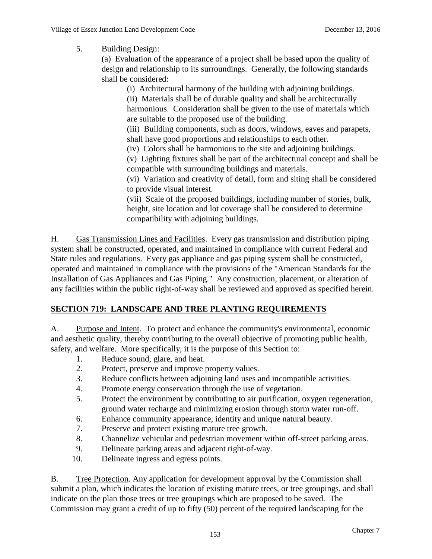5. Building Design:

(a) Evaluation of the appearance of a project shall be based upon the quality of design and relationship to its surroundings. Generally, the following standards shall be considered:

(i) Architectural harmony of the building with adjoining buildings.

(ii) Materials shall be of durable quality and shall be architecturally harmonious. Consideration shall be given to the use of materials which are suitable to the proposed use of the building.

(iii) Building components, such as doors, windows, eaves and parapets, shall have good proportions and relationships to each other.

(iv) Colors shall be harmonious to the site and adjoining buildings.

(v) Lighting fixtures shall be part of the architectural concept and shall be compatible with surrounding buildings and materials.

(vi) Variation and creativity of detail, form and siting shall be considered to provide visual interest.

(vii) Scale of the proposed buildings, including number of stories, bulk, height, site location and lot coverage shall be considered to determine compatibility with adjoining buildings.

H. Gas Transmission Lines and Facilities. Every gas transmission and distribution piping system shall be constructed, operated, and maintained in compliance with current Federal and State rules and regulations. Every gas appliance and gas piping system shall be constructed, operated and maintained in compliance with the provisions of the "American Standards for the Installation of Gas Appliances and Gas Piping." Any construction, placement, or alteration of any facilities within the public right-of-way shall be reviewed and approved as specified herein.

# **SECTION 719: LANDSCAPE AND TREE PLANTING REQUIREMENTS**

A. Purpose and Intent. To protect and enhance the community's environmental, economic and aesthetic quality, thereby contributing to the overall objective of promoting public health, safety, and welfare. More specifically, it is the purpose of this Section to:

- 1. Reduce sound, glare, and heat.
- 2. Protect, preserve and improve property values.
- 3. Reduce conflicts between adjoining land uses and incompatible activities.
- 4. Promote energy conservation through the use of vegetation.
- 5. Protect the environment by contributing to air purification, oxygen regeneration, ground water recharge and minimizing erosion through storm water run-off.
- 6. Enhance community appearance, identity and unique natural beauty.
- 7. Preserve and protect existing mature tree growth.
- 8. Channelize vehicular and pedestrian movement within off-street parking areas.
- 9. Delineate parking areas and adjacent right-of-way.
- 10. Delineate ingress and egress points.

B. Tree Protection. Any application for development approval by the Commission shall submit a plan, which indicates the location of existing mature trees, or tree groupings, and shall indicate on the plan those trees or tree groupings which are proposed to be saved. The Commission may grant a credit of up to fifty (50) percent of the required landscaping for the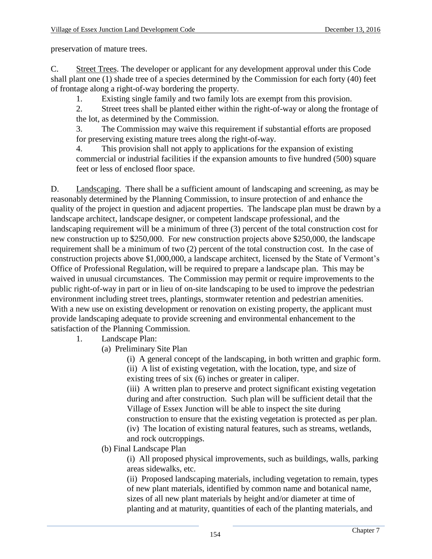preservation of mature trees.

C. Street Trees. The developer or applicant for any development approval under this Code shall plant one (1) shade tree of a species determined by the Commission for each forty (40) feet of frontage along a right-of-way bordering the property.

1. Existing single family and two family lots are exempt from this provision.

2. Street trees shall be planted either within the right-of-way or along the frontage of the lot, as determined by the Commission.

3. The Commission may waive this requirement if substantial efforts are proposed for preserving existing mature trees along the right-of-way.

4. This provision shall not apply to applications for the expansion of existing commercial or industrial facilities if the expansion amounts to five hundred (500) square feet or less of enclosed floor space.

D. Landscaping. There shall be a sufficient amount of landscaping and screening, as may be reasonably determined by the Planning Commission, to insure protection of and enhance the quality of the project in question and adjacent properties. The landscape plan must be drawn by a landscape architect, landscape designer, or competent landscape professional, and the landscaping requirement will be a minimum of three (3) percent of the total construction cost for new construction up to \$250,000. For new construction projects above \$250,000, the landscape requirement shall be a minimum of two (2) percent of the total construction cost. In the case of construction projects above \$1,000,000, a landscape architect, licensed by the State of Vermont's Office of Professional Regulation, will be required to prepare a landscape plan. This may be waived in unusual circumstances. The Commission may permit or require improvements to the public right-of-way in part or in lieu of on-site landscaping to be used to improve the pedestrian environment including street trees, plantings, stormwater retention and pedestrian amenities. With a new use on existing development or renovation on existing property, the applicant must provide landscaping adequate to provide screening and environmental enhancement to the satisfaction of the Planning Commission.

1. Landscape Plan:

(a) Preliminary Site Plan

(i) A general concept of the landscaping, in both written and graphic form.

(ii) A list of existing vegetation, with the location, type, and size of existing trees of six (6) inches or greater in caliper.

(iii) A written plan to preserve and protect significant existing vegetation during and after construction. Such plan will be sufficient detail that the Village of Essex Junction will be able to inspect the site during construction to ensure that the existing vegetation is protected as per plan. (iv) The location of existing natural features, such as streams, wetlands, and rock outcroppings.

# (b) Final Landscape Plan

(i) All proposed physical improvements, such as buildings, walls, parking areas sidewalks, etc.

(ii) Proposed landscaping materials, including vegetation to remain, types of new plant materials, identified by common name and botanical name, sizes of all new plant materials by height and/or diameter at time of planting and at maturity, quantities of each of the planting materials, and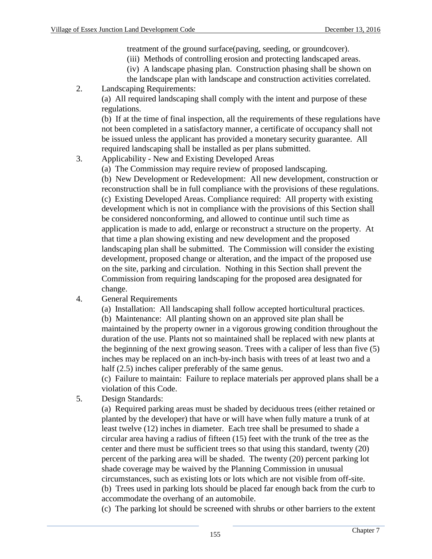treatment of the ground surface(paving, seeding, or groundcover).

- (iii) Methods of controlling erosion and protecting landscaped areas.
- (iv) A landscape phasing plan. Construction phasing shall be shown on
- the landscape plan with landscape and construction activities correlated.
- 2. Landscaping Requirements:

(a) All required landscaping shall comply with the intent and purpose of these regulations.

(b) If at the time of final inspection, all the requirements of these regulations have not been completed in a satisfactory manner, a certificate of occupancy shall not be issued unless the applicant has provided a monetary security guarantee. All required landscaping shall be installed as per plans submitted.

- 3. Applicability New and Existing Developed Areas
	- (a) The Commission may require review of proposed landscaping.

(b) New Development or Redevelopment: All new development, construction or reconstruction shall be in full compliance with the provisions of these regulations. (c) Existing Developed Areas. Compliance required: All property with existing development which is not in compliance with the provisions of this Section shall be considered nonconforming, and allowed to continue until such time as application is made to add, enlarge or reconstruct a structure on the property. At that time a plan showing existing and new development and the proposed landscaping plan shall be submitted. The Commission will consider the existing development, proposed change or alteration, and the impact of the proposed use on the site, parking and circulation. Nothing in this Section shall prevent the Commission from requiring landscaping for the proposed area designated for change.

4. General Requirements

(a) Installation: All landscaping shall follow accepted horticultural practices. (b) Maintenance: All planting shown on an approved site plan shall be maintained by the property owner in a vigorous growing condition throughout the duration of the use. Plants not so maintained shall be replaced with new plants at the beginning of the next growing season. Trees with a caliper of less than five (5) inches may be replaced on an inch-by-inch basis with trees of at least two and a half (2.5) inches caliper preferably of the same genus.

(c) Failure to maintain: Failure to replace materials per approved plans shall be a violation of this Code.

5. Design Standards:

(a) Required parking areas must be shaded by deciduous trees (either retained or planted by the developer) that have or will have when fully mature a trunk of at least twelve (12) inches in diameter. Each tree shall be presumed to shade a circular area having a radius of fifteen (15) feet with the trunk of the tree as the center and there must be sufficient trees so that using this standard, twenty (20) percent of the parking area will be shaded. The twenty (20) percent parking lot shade coverage may be waived by the Planning Commission in unusual circumstances, such as existing lots or lots which are not visible from off-site. (b) Trees used in parking lots should be placed far enough back from the curb to accommodate the overhang of an automobile.

(c) The parking lot should be screened with shrubs or other barriers to the extent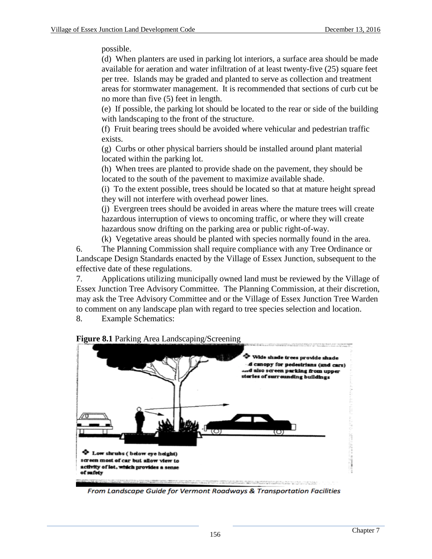possible.

(d) When planters are used in parking lot interiors, a surface area should be made available for aeration and water infiltration of at least twenty-five (25) square feet per tree. Islands may be graded and planted to serve as collection and treatment areas for stormwater management. It is recommended that sections of curb cut be no more than five (5) feet in length.

(e) If possible, the parking lot should be located to the rear or side of the building with landscaping to the front of the structure.

(f) Fruit bearing trees should be avoided where vehicular and pedestrian traffic exists.

(g) Curbs or other physical barriers should be installed around plant material located within the parking lot.

(h) When trees are planted to provide shade on the pavement, they should be located to the south of the pavement to maximize available shade.

(i) To the extent possible, trees should be located so that at mature height spread they will not interfere with overhead power lines.

(j) Evergreen trees should be avoided in areas where the mature trees will create hazardous interruption of views to oncoming traffic, or where they will create hazardous snow drifting on the parking area or public right-of-way.

(k) Vegetative areas should be planted with species normally found in the area.

6. The Planning Commission shall require compliance with any Tree Ordinance or Landscape Design Standards enacted by the Village of Essex Junction, subsequent to the effective date of these regulations.

7. Applications utilizing municipally owned land must be reviewed by the Village of Essex Junction Tree Advisory Committee. The Planning Commission, at their discretion, may ask the Tree Advisory Committee and or the Village of Essex Junction Tree Warden to comment on any landscape plan with regard to tree species selection and location.

8. Example Schematics:



From Landscape Guide for Vermont Roadways & Transportation Facilities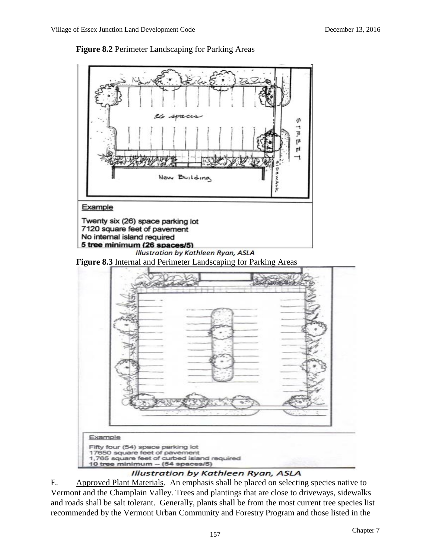

**Figure 8.2** Perimeter Landscaping for Parking Areas

### Illustration by Kathleen Ryan, ASLA

E. Approved Plant Materials. An emphasis shall be placed on selecting species native to Vermont and the Champlain Valley. Trees and plantings that are close to driveways, sidewalks and roads shall be salt tolerant. Generally, plants shall be from the most current tree species list recommended by the Vermont Urban Community and Forestry Program and those listed in the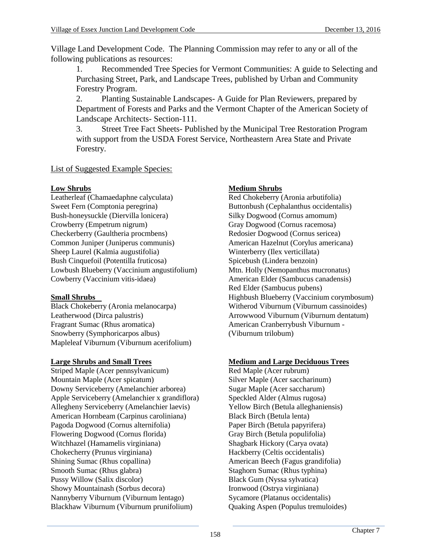Village Land Development Code. The Planning Commission may refer to any or all of the following publications as resources:

1. Recommended Tree Species for Vermont Communities: A guide to Selecting and Purchasing Street, Park, and Landscape Trees, published by Urban and Community Forestry Program.

2. Planting Sustainable Landscapes- A Guide for Plan Reviewers, prepared by Department of Forests and Parks and the Vermont Chapter of the American Society of Landscape Architects- Section-111.

3. Street Tree Fact Sheets- Published by the Municipal Tree Restoration Program with support from the USDA Forest Service, Northeastern Area State and Private Forestry.

## List of Suggested Example Species:

Leatherleaf (Chamaedaphne calyculata) Red Chokeberry (Aronia arbutifolia) Sweet Fern (Comptonia peregrina) Buttonbush (Cephalanthus occidentalis) Bush-honeysuckle (Diervilla lonicera) Silky Dogwood (Cornus amomum) Crowberry (Empetrum nigrum) Gray Dogwood (Cornus racemosa) Checkerberry (Gaultheria procmbens) Redosier Dogwood (Cornus sericea) Common Juniper (Juniperus communis) American Hazelnut (Corylus americana)<br>
Sheep Laurel (Kalmia augustifolia) Winterberry (Ilex verticillata) Sheep Laurel (Kalmia augustifolia) Winterberry (Ilex verticillata)<br>Bush Cinquefoil (Potentilla fruticosa) Spicebush (Lindera benzoin) Bush Cinquefoil (Potentilla fruticosa) Lowbush Blueberry (Vaccinium angustifolium) Mtn. Holly (Nemopanthus mucronatus) Cowberry (Vaccinium vitis-idaea) American Elder (Sambucus canadensis)

Leatherwood (Dirca palustris) Arrowwood Viburnum (Viburnum dentatum) Fragrant Sumac (Rhus aromatica) American Cranberrybush Viburnum -Snowberry (Symphoricarpos albus) (Viburnum trilobum) Mapleleaf Viburnum (Viburnum acerifolium)

**Large Shrubs and Small Trees**<br> **Medium and Large Deciduous Trees**<br>
Red Maple (Acer rubrum)<br>
Red Maple (Acer rubrum) Striped Maple (Acer pennsylvanicum) Mountain Maple (Acer spicatum) Silver Maple (Acer saccharinum)<br>Downy Serviceberry (Amelanchier arborea) Sugar Maple (Acer saccharum) Downy Serviceberry (Amelanchier arborea) Sugar Maple (Acer saccharum)<br>Apple Serviceberry (Amelanchier x grandiflora) Speckled Alder (Almus rugosa) Apple Serviceberry (Amelanchier x grandiflora) Allegheny Serviceberry (Amelanchier laevis) Yellow Birch (Betula alleghaniensis) American Hornbeam (Carpinus caroliniana) Black Birch (Betula lenta) Pagoda Dogwood (Cornus alternifolia) Paper Birch (Betula papyrifera) Flowering Dogwood (Cornus florida) Gray Birch (Betula populifolia) Witchhazel (Hamamelis virginiana) Shagbark Hickory (Carya ovata) Chokecherry (Prunus virginiana) Hackberry (Celtis occidentalis) Shining Sumac (Rhus copallina) <br>
Smooth Sumac (Rhus glabra) <br>
Staghorn Sumac (Rhus typhina) Pussy Willow (Salix discolor) Showy Mountainash (Sorbus decora) Ironwood (Ostrya virginiana)<br>
Nannyberry Viburnum (Viburnum lentago) Sycamore (Platanus occidentalis) Nannyberry Viburnum (Viburnum lentago) Blackhaw Viburnum (Viburnum prunifolium) Quaking Aspen (Populus tremuloides)

## **Low Shrubs Medium Shrubs**

Red Elder (Sambucus pubens) **Small Shrubs** Highbush Blueberry (Vaccinium corymbosum) Black Chokeberry (Aronia melanocarpa) Witherod Viburnum (Viburnum cassinoides)

Staghorn Sumac (Rhus typhina)<br>Black Gum (Nyssa sylvatica)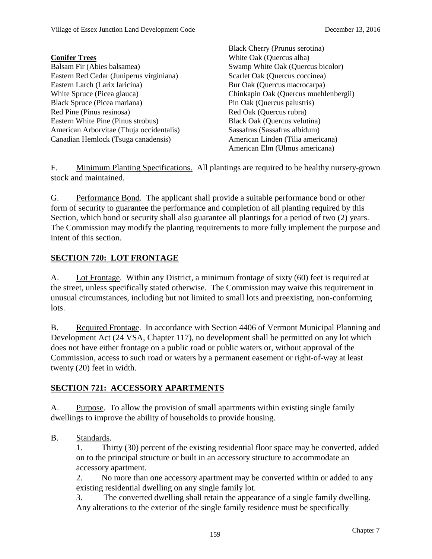Black Cherry (Prunus serotina)

|                                          | DIACK CHEITY (FIGHIUS SCIULIAE)       |
|------------------------------------------|---------------------------------------|
| <b>Conifer Trees</b>                     | White Oak (Quercus alba)              |
| Balsam Fir (Abies balsamea)              | Swamp White Oak (Quercus bicolor)     |
| Eastern Red Cedar (Juniperus virginiana) | Scarlet Oak (Quercus coccinea)        |
| Eastern Larch (Larix laricina)           | Bur Oak (Quercus macrocarpa)          |
| White Spruce (Picea glauca)              | Chinkapin Oak (Quercus muehlenbergii) |
| Black Spruce (Picea mariana)             | Pin Oak (Quercus palustris)           |
| Red Pine (Pinus resinosa)                | Red Oak (Quercus rubra)               |
| Eastern White Pine (Pinus strobus)       | Black Oak (Quercus velutina)          |
| American Arborvitae (Thuja occidentalis) | Sassafras (Sassafras albidum)         |
| Canadian Hemlock (Tsuga canadensis)      | American Linden (Tilia americana)     |
|                                          | American Elm (Ulmus americana)        |

F. Minimum Planting Specifications. All plantings are required to be healthy nursery-grown stock and maintained.

G. Performance Bond. The applicant shall provide a suitable performance bond or other form of security to guarantee the performance and completion of all planting required by this Section, which bond or security shall also guarantee all plantings for a period of two  $(2)$  years. The Commission may modify the planting requirements to more fully implement the purpose and intent of this section.

## **SECTION 720: LOT FRONTAGE**

A. Lot Frontage. Within any District, a minimum frontage of sixty (60) feet is required at the street, unless specifically stated otherwise. The Commission may waive this requirement in unusual circumstances, including but not limited to small lots and preexisting, non-conforming lots.

B. Required Frontage. In accordance with Section 4406 of Vermont Municipal Planning and Development Act (24 VSA, Chapter 117), no development shall be permitted on any lot which does not have either frontage on a public road or public waters or, without approval of the Commission, access to such road or waters by a permanent easement or right-of-way at least twenty (20) feet in width.

### **SECTION 721: ACCESSORY APARTMENTS**

A. Purpose. To allow the provision of small apartments within existing single family dwellings to improve the ability of households to provide housing.

B. Standards.

1. Thirty (30) percent of the existing residential floor space may be converted, added on to the principal structure or built in an accessory structure to accommodate an accessory apartment.

2. No more than one accessory apartment may be converted within or added to any existing residential dwelling on any single family lot.

3. The converted dwelling shall retain the appearance of a single family dwelling. Any alterations to the exterior of the single family residence must be specifically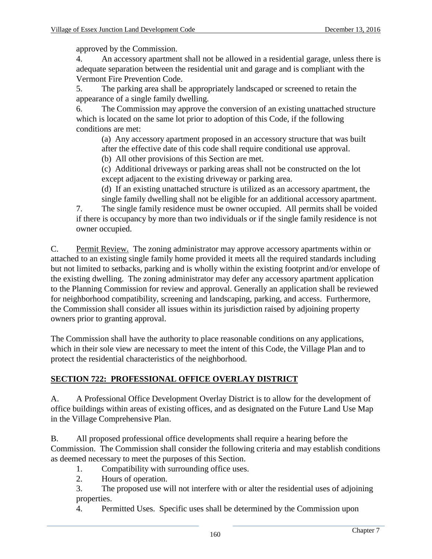approved by the Commission.

4. An accessory apartment shall not be allowed in a residential garage, unless there is adequate separation between the residential unit and garage and is compliant with the Vermont Fire Prevention Code.

5. The parking area shall be appropriately landscaped or screened to retain the appearance of a single family dwelling.

6. The Commission may approve the conversion of an existing unattached structure which is located on the same lot prior to adoption of this Code, if the following conditions are met:

(a) Any accessory apartment proposed in an accessory structure that was built after the effective date of this code shall require conditional use approval.

(b) All other provisions of this Section are met.

(c) Additional driveways or parking areas shall not be constructed on the lot except adjacent to the existing driveway or parking area.

(d) If an existing unattached structure is utilized as an accessory apartment, the

single family dwelling shall not be eligible for an additional accessory apartment.

7. The single family residence must be owner occupied. All permits shall be voided if there is occupancy by more than two individuals or if the single family residence is not owner occupied.

C. Permit Review. The zoning administrator may approve accessory apartments within or attached to an existing single family home provided it meets all the required standards including but not limited to setbacks, parking and is wholly within the existing footprint and/or envelope of the existing dwelling. The zoning administrator may defer any accessory apartment application to the Planning Commission for review and approval. Generally an application shall be reviewed for neighborhood compatibility, screening and landscaping, parking, and access. Furthermore, the Commission shall consider all issues within its jurisdiction raised by adjoining property owners prior to granting approval.

The Commission shall have the authority to place reasonable conditions on any applications, which in their sole view are necessary to meet the intent of this Code, the Village Plan and to protect the residential characteristics of the neighborhood.

# **SECTION 722: PROFESSIONAL OFFICE OVERLAY DISTRICT**

A. A Professional Office Development Overlay District is to allow for the development of office buildings within areas of existing offices, and as designated on the Future Land Use Map in the Village Comprehensive Plan.

B. All proposed professional office developments shall require a hearing before the Commission. The Commission shall consider the following criteria and may establish conditions as deemed necessary to meet the purposes of this Section.

1. Compatibility with surrounding office uses.

- 2. Hours of operation.
- 3. The proposed use will not interfere with or alter the residential uses of adjoining properties.
- 4. Permitted Uses. Specific uses shall be determined by the Commission upon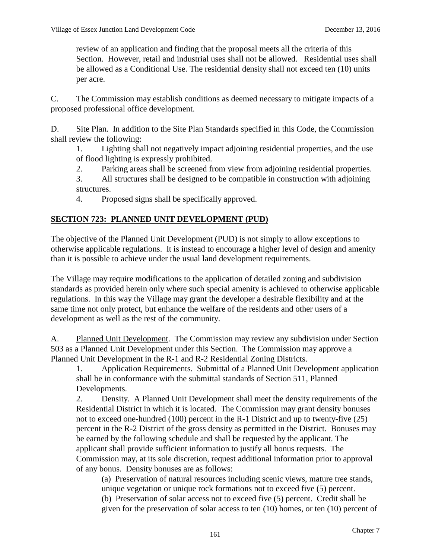review of an application and finding that the proposal meets all the criteria of this Section. However, retail and industrial uses shall not be allowed. Residential uses shall be allowed as a Conditional Use. The residential density shall not exceed ten (10) units per acre.

C. The Commission may establish conditions as deemed necessary to mitigate impacts of a proposed professional office development.

D. Site Plan. In addition to the Site Plan Standards specified in this Code, the Commission shall review the following:

1. Lighting shall not negatively impact adjoining residential properties, and the use of flood lighting is expressly prohibited.

2. Parking areas shall be screened from view from adjoining residential properties.

3. All structures shall be designed to be compatible in construction with adjoining structures.

4. Proposed signs shall be specifically approved.

## **SECTION 723: PLANNED UNIT DEVELOPMENT (PUD)**

The objective of the Planned Unit Development (PUD) is not simply to allow exceptions to otherwise applicable regulations. It is instead to encourage a higher level of design and amenity than it is possible to achieve under the usual land development requirements.

The Village may require modifications to the application of detailed zoning and subdivision standards as provided herein only where such special amenity is achieved to otherwise applicable regulations. In this way the Village may grant the developer a desirable flexibility and at the same time not only protect, but enhance the welfare of the residents and other users of a development as well as the rest of the community.

A. Planned Unit Development. The Commission may review any subdivision under Section 503 as a Planned Unit Development under this Section. The Commission may approve a Planned Unit Development in the R-1 and R-2 Residential Zoning Districts.

1. Application Requirements. Submittal of a Planned Unit Development application shall be in conformance with the submittal standards of Section 511, Planned Developments.

2. Density. A Planned Unit Development shall meet the density requirements of the Residential District in which it is located. The Commission may grant density bonuses not to exceed one-hundred (100) percent in the R-1 District and up to twenty-five (25) percent in the R-2 District of the gross density as permitted in the District. Bonuses may be earned by the following schedule and shall be requested by the applicant. The applicant shall provide sufficient information to justify all bonus requests. The Commission may, at its sole discretion, request additional information prior to approval of any bonus. Density bonuses are as follows:

(a) Preservation of natural resources including scenic views, mature tree stands, unique vegetation or unique rock formations not to exceed five (5) percent. (b) Preservation of solar access not to exceed five (5) percent. Credit shall be given for the preservation of solar access to ten (10) homes, or ten (10) percent of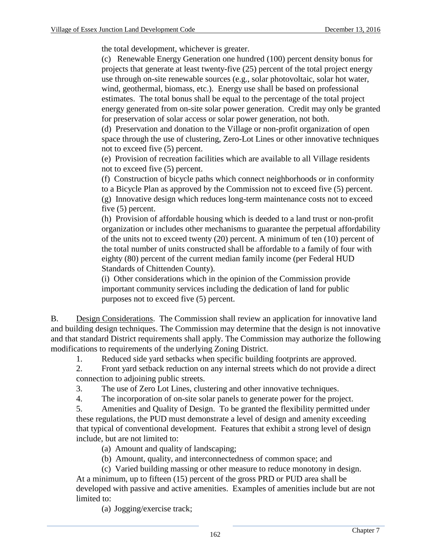the total development, whichever is greater.

(c) Renewable Energy Generation one hundred (100) percent density bonus for projects that generate at least twenty-five (25) percent of the total project energy use through on-site renewable sources (e.g., solar photovoltaic, solar hot water, wind, geothermal, biomass, etc.). Energy use shall be based on professional estimates. The total bonus shall be equal to the percentage of the total project energy generated from on-site solar power generation. Credit may only be granted for preservation of solar access or solar power generation, not both.

(d) Preservation and donation to the Village or non-profit organization of open space through the use of clustering, Zero-Lot Lines or other innovative techniques not to exceed five (5) percent.

(e) Provision of recreation facilities which are available to all Village residents not to exceed five (5) percent.

(f) Construction of bicycle paths which connect neighborhoods or in conformity to a Bicycle Plan as approved by the Commission not to exceed five (5) percent. (g) Innovative design which reduces long-term maintenance costs not to exceed five (5) percent.

(h) Provision of affordable housing which is deeded to a land trust or non-profit organization or includes other mechanisms to guarantee the perpetual affordability of the units not to exceed twenty (20) percent. A minimum of ten (10) percent of the total number of units constructed shall be affordable to a family of four with eighty (80) percent of the current median family income (per Federal HUD Standards of Chittenden County).

(i) Other considerations which in the opinion of the Commission provide important community services including the dedication of land for public purposes not to exceed five (5) percent.

B. Design Considerations. The Commission shall review an application for innovative land and building design techniques. The Commission may determine that the design is not innovative and that standard District requirements shall apply. The Commission may authorize the following modifications to requirements of the underlying Zoning District.

1. Reduced side yard setbacks when specific building footprints are approved.

2. Front yard setback reduction on any internal streets which do not provide a direct connection to adjoining public streets.

3. The use of Zero Lot Lines, clustering and other innovative techniques.

4. The incorporation of on-site solar panels to generate power for the project.

5. Amenities and Quality of Design. To be granted the flexibility permitted under these regulations, the PUD must demonstrate a level of design and amenity exceeding that typical of conventional development. Features that exhibit a strong level of design include, but are not limited to:

(a) Amount and quality of landscaping;

(b) Amount, quality, and interconnectedness of common space; and

(c) Varied building massing or other measure to reduce monotony in design. At a minimum, up to fifteen (15) percent of the gross PRD or PUD area shall be developed with passive and active amenities. Examples of amenities include but are not limited to:

(a) Jogging/exercise track;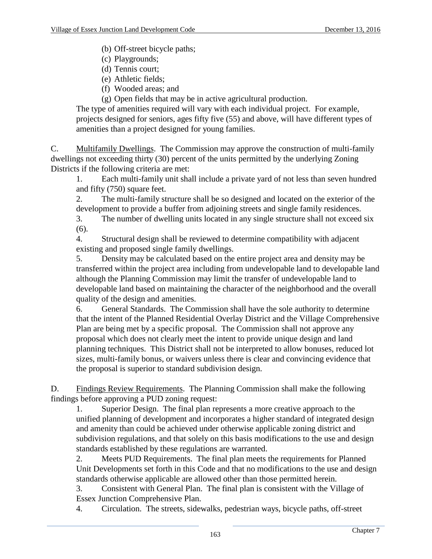(b) Off-street bicycle paths;

- (c) Playgrounds;
- (d) Tennis court;
- (e) Athletic fields;
- (f) Wooded areas; and
- (g) Open fields that may be in active agricultural production.

The type of amenities required will vary with each individual project. For example, projects designed for seniors, ages fifty five (55) and above, will have different types of amenities than a project designed for young families.

C. Multifamily Dwellings. The Commission may approve the construction of multi-family dwellings not exceeding thirty (30) percent of the units permitted by the underlying Zoning Districts if the following criteria are met:

1. Each multi-family unit shall include a private yard of not less than seven hundred and fifty (750) square feet.

2. The multi-family structure shall be so designed and located on the exterior of the development to provide a buffer from adjoining streets and single family residences.

3. The number of dwelling units located in any single structure shall not exceed six (6).

4. Structural design shall be reviewed to determine compatibility with adjacent existing and proposed single family dwellings.

5. Density may be calculated based on the entire project area and density may be transferred within the project area including from undevelopable land to developable land although the Planning Commission may limit the transfer of undevelopable land to developable land based on maintaining the character of the neighborhood and the overall quality of the design and amenities.

6. General Standards. The Commission shall have the sole authority to determine that the intent of the Planned Residential Overlay District and the Village Comprehensive Plan are being met by a specific proposal. The Commission shall not approve any proposal which does not clearly meet the intent to provide unique design and land planning techniques. This District shall not be interpreted to allow bonuses, reduced lot sizes, multi-family bonus, or waivers unless there is clear and convincing evidence that the proposal is superior to standard subdivision design.

D. Findings Review Requirements. The Planning Commission shall make the following findings before approving a PUD zoning request:

1. Superior Design. The final plan represents a more creative approach to the unified planning of development and incorporates a higher standard of integrated design and amenity than could be achieved under otherwise applicable zoning district and subdivision regulations, and that solely on this basis modifications to the use and design standards established by these regulations are warranted.

2. Meets PUD Requirements. The final plan meets the requirements for Planned Unit Developments set forth in this Code and that no modifications to the use and design standards otherwise applicable are allowed other than those permitted herein.

3. Consistent with General Plan. The final plan is consistent with the Village of Essex Junction Comprehensive Plan.

4. Circulation. The streets, sidewalks, pedestrian ways, bicycle paths, off-street